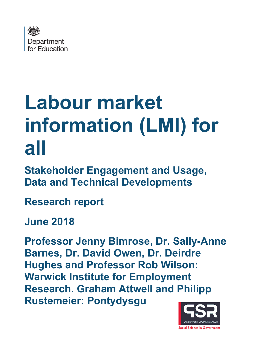

# **Labour market information (LMI) for all**

**Stakeholder Engagement and Usage, Data and Technical Developments**

**Research report** 

**June 2018**

**Professor Jenny Bimrose, Dr. Sally-Anne Barnes, Dr. David Owen, Dr. Deirdre Hughes and Professor Rob Wilson: Warwick Institute for Employment Research. Graham Attwell and Philipp Rustemeier: Pontydysgu**

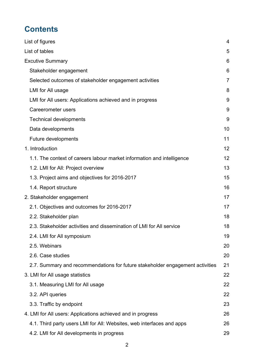# **Contents**

| List of figures                                                               | 4  |
|-------------------------------------------------------------------------------|----|
| List of tables                                                                | 5  |
| <b>Excutive Summary</b>                                                       | 6  |
| Stakeholder engagement                                                        | 6  |
| Selected outcomes of stakeholder engagement activities                        | 7  |
| LMI for All usage                                                             | 8  |
| LMI for All users: Applications achieved and in progress                      | 9  |
| <b>Careerometer users</b>                                                     | 9  |
| <b>Technical developments</b>                                                 | 9  |
| Data developments                                                             | 10 |
| <b>Future developments</b>                                                    | 11 |
| 1. Introduction                                                               | 12 |
| 1.1. The context of careers labour market information and intelligence        | 12 |
| 1.2. LMI for All: Project overview                                            | 13 |
| 1.3. Project aims and objectives for 2016-2017                                | 15 |
| 1.4. Report structure                                                         | 16 |
| 2. Stakeholder engagement                                                     | 17 |
| 2.1. Objectives and outcomes for 2016-2017                                    | 17 |
| 2.2. Stakeholder plan                                                         | 18 |
| 2.3. Stakeholder activities and dissemination of LMI for All service          | 18 |
| 2.4. LMI for All symposium                                                    | 19 |
| 2.5. Webinars                                                                 | 20 |
| 2.6. Case studies                                                             | 20 |
| 2.7. Summary and recommendations for future stakeholder engagement activities | 21 |
| 3. LMI for All usage statistics                                               | 22 |
| 3.1. Measuring LMI for All usage                                              | 22 |
| 3.2. API queries                                                              | 22 |
| 3.3. Traffic by endpoint                                                      | 23 |
| 4. LMI for All users: Applications achieved and in progress                   | 26 |
| 4.1. Third party users LMI for All: Websites, web interfaces and apps         | 26 |
| 4.2. LMI for All developments in progress                                     | 29 |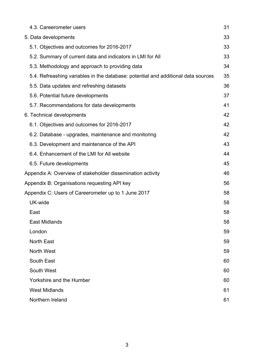| 4.3. Careerometer users                                                           | 31 |
|-----------------------------------------------------------------------------------|----|
| 5. Data developments                                                              | 33 |
| 5.1. Objectives and outcomes for 2016-2017                                        | 33 |
| 5.2. Summary of current data and indicators in LMI for All                        | 33 |
| 5.3. Methodology and approach to providing data                                   | 34 |
| 5.4. Refreashing variables in the database: potential and additional data sources | 35 |
| 5.5. Data updates and refreshing datasets                                         | 36 |
| 5.6. Potential future developments                                                | 37 |
| 5.7. Recommendations for data developments                                        | 41 |
| 6. Technical developments                                                         | 42 |
| 6.1. Objectives and outcomes for 2016-2017                                        | 42 |
| 6.2. Database - upgrades, maintenance and monitoring                              | 42 |
| 6.3. Development and maintenance of the API                                       | 43 |
| 6.4. Enhancement of the LMI for All website                                       | 44 |
| 6.5. Future developments                                                          | 45 |
| Appendix A: Overview of stakeholder dissemination activity                        | 46 |
| Appendix B: Organisations requesting API key                                      | 56 |
| Appendix C: Users of Careerometer up to 1 June 2017                               | 58 |
| UK-wide                                                                           | 58 |
| East                                                                              | 58 |
| <b>East Midlands</b>                                                              | 58 |
| London                                                                            | 59 |
| <b>North East</b>                                                                 | 59 |
| <b>North West</b>                                                                 | 59 |
| South East                                                                        | 60 |
| South West                                                                        | 60 |
| <b>Yorkshire and the Humber</b>                                                   | 60 |
| <b>West Midlands</b>                                                              | 61 |
| Northern Ireland                                                                  | 61 |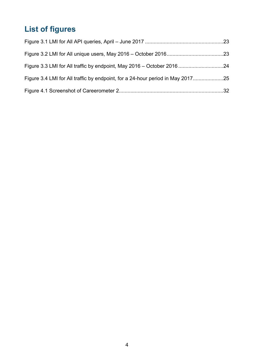# <span id="page-3-0"></span>**List of figures**

| Figure 3.4 LMI for All traffic by endpoint, for a 24-hour period in May 2017 |  |
|------------------------------------------------------------------------------|--|
|                                                                              |  |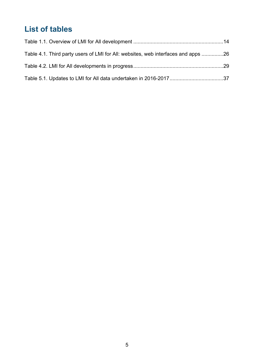# <span id="page-4-0"></span>**List of tables**

| Table 4.1. Third party users of LMI for All: websites, web interfaces and apps 26 |  |
|-----------------------------------------------------------------------------------|--|
|                                                                                   |  |
|                                                                                   |  |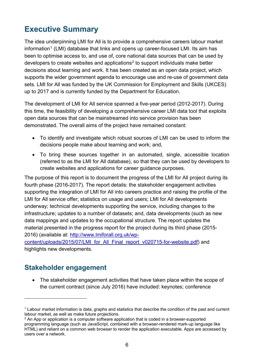# <span id="page-5-0"></span>**Executive Summary**

The idea underpinning LMI for All is to provide a comprehensive careers labour market  $information<sup>1</sup>$  $information<sup>1</sup>$  $information<sup>1</sup>$  (LMI) database that links and opens up career-focused LMI. Its aim has been to optimise access to, and use of, core national data sources that can be used by developers to create websites and applications<sup>[2](#page-5-3)</sup> to support individuals make better decisions about learning and work. It has been created as an open data project, which supports the wider government agenda to encourage use and re-use of government data sets. LMI for All was funded by the UK Commission for Employment and Skills (UKCES) up to 2017 and is currently funded by the Department for Education.

The development of LMI for All service spanned a five-year period (2012-2017). During this time, the feasibility of developing a comprehensive career LMI data tool that exploits open data sources that can be mainstreamed into service provision has been demonstrated. The overall aims of the project have remained constant:

- To identify and investigate which robust sources of LMI can be used to inform the decisions people make about learning and work; and,
- To bring these sources together in an automated, single, accessible location (referred to as the LMI for All database), so that they can be used by developers to create websites and applications for career guidance purposes.

The purpose of this report is to document the progress of the LMI for All project during its fourth phase (2016-2017). The report details: the stakeholder engagement activities supporting the integration of LMI for All into careers practice and raising the profile of the LMI for All service offer; statistics on usage and users; LMI for All developments underway; technical developments supporting the service, including changes to the infrastructure; updates to a number of datasets; and, data developments (such as new data mappings and updates to the occupational structure. The report updates the material presented in the progress report for the project during its third phase (2015- 2016) (available at: [http://www.lmiforall.org.uk/wp-](http://www.lmiforall.org.uk/wp-content/uploads/2015/07/LMI_for_All_Final_report_v020715-for-website.pdf)

[content/uploads/2015/07/LMI\\_for\\_All\\_Final\\_report\\_v020715-for-website.pdf\)](http://www.lmiforall.org.uk/wp-content/uploads/2015/07/LMI_for_All_Final_report_v020715-for-website.pdf) and highlights new developments.

#### <span id="page-5-1"></span>**Stakeholder engagement**

 $\overline{a}$ 

• The stakeholder engagement activities that have taken place within the scope of the current contract (since July 2016) have included: keynotes; conference

<span id="page-5-2"></span><sup>1</sup> Labour market information is data, graphs and statistics that describe the condition of the past and current labour market, as well as make future projections.

<span id="page-5-3"></span> $<sup>2</sup>$  An App or application is a computer software application that is coded in a browser-supported</sup> programming language (such as JavaScript, combined with a browser-rendered mark-up language like HTML) and reliant on a common web browser to render the application executable. Apps are accessed by users over a network.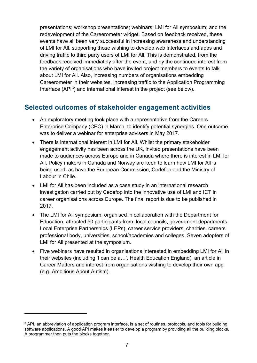presentations; workshop presentations; webinars; LMI for All symposium; and the redevelopment of the Careerometer widget. Based on feedback received, these events have all been very successful in increasing awareness and understanding of LMI for All, supporting those wishing to develop web interfaces and apps and driving traffic to third party users of LMI for All. This is demonstrated, from the feedback received immediately after the event, and by the continued interest from the variety of organisations who have invited project members to events to talk about LMI for All. Also, increasing numbers of organisations embedding Careerometer in their websites, increasing traffic to the Application Programming Interface  $(API<sup>3</sup>)$  $(API<sup>3</sup>)$  $(API<sup>3</sup>)$  and international interest in the project (see below).

#### <span id="page-6-0"></span>**Selected outcomes of stakeholder engagement activities**

- An exploratory meeting took place with a representative from the Careers Enterprise Company (CEC) in March, to identify potential synergies. One outcome was to deliver a webinar for enterprise advisers in May 2017.
- There is international interest in LMI for All. Whilst the primary stakeholder engagement activity has been across the UK, invited presentations have been made to audiences across Europe and in Canada where there is interest in LMI for All. Policy makers in Canada and Norway are keen to learn how LMI for All is being used, as have the European Commission, Cedefop and the Ministry of Labour in Chile.
- LMI for All has been included as a case study in an international research investigation carried out by Cedefop into the innovative use of LMI and ICT in career organisations across Europe. The final report is due to be published in 2017.
- The LMI for All symposium, organised in collaboration with the Department for Education, attracted 50 participants from: local councils, government departments, Local Enterprise Partnerships (LEPs), career service providers, charities, careers professional body, universities, school/academies and colleges. Seven adopters of LMI for All presented at the symposium.
- Five webinars have resulted in organisations interested in embedding LMI for All in their websites (including 'I can be a…', Health Education England), an article in Career Matters and interest from organisations wishing to develop their own app (e.g. Ambitious About Autism).

 $\overline{a}$ 

<span id="page-6-1"></span><sup>&</sup>lt;sup>3</sup> API, an abbreviation of application program interface, is a set of routines, protocols, and tools for building software applications. A good API makes it easier to develop a program by providing all the building blocks. A programmer then puts the blocks together.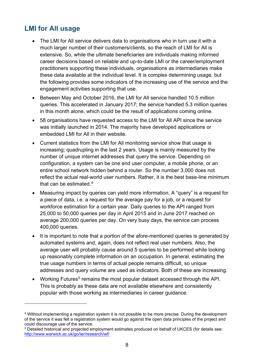## <span id="page-7-0"></span>**LMI for All usage**

 $\overline{a}$ 

- The LMI for All service delivers data to organisations who in turn use it with a much larger number of their customers/clients, so the reach of LMI for All is extensive. So, while the ultimate beneficiaries are individuals making informed career decisions based on reliable and up-to-date LMI or the career/employment practitioners supporting these individuals, organisations as intermediaries make these data available at the individual level. It is complex determining usage, but the following provides some indicators of the increasing use of the service and the engagement activities supporting that use.
- Between May and October 2016, the LMI for All service handled 10.5 million queries. This accelerated in January 2017; the service handled 5.3 million queries in this month alone, which could be the result of applications coming online.
- 58 organisations have requested access to the LMI for All API since the service was initially launched in 2014. The majority have developed applications or embedded LMI for All in their website.
- Current statistics from the LMI for All monitoring service show that usage is increasing; quadrupling in the last 2 years. Usage is mainly measured by the number of unique internet addresses that query the service. Depending on configuration, a system can be one end user computer, a mobile phone, or an entire school network hidden behind a router. So the number 3,000 does not reflect the actual real-world user numbers. Rather, it is the best base-line minimum that can be estimated. [4](#page-7-1)
- Measuring impact by queries can yield more information. A "query" is a request for a piece of data, i.e. a request for the average pay for a job, or a request for workforce estimation for a certain year. Daily queries to the API ranged from 25,000 to 50,000 queries per day in April 2015 and in June 2017 reached on average 200,000 queries per day. On very busy days, the service can process 400,000 queries.
- It is important to note that a portion of the afore-mentioned queries is generated by automated systems and, again, does not reflect real user numbers. Also, the average user will probably cause around 5 queries to be performed while looking up reasonably complete information on an occupation. In general, estimating the true usage numbers in terms of actual people remains difficult, so unique addresses and query volume are used as indicators. Both of these are increasing.
- Working Futures<sup>[5](#page-7-2)</sup> remains the most popular dataset accessed through the API. This is probably as these data are not available elsewhere and consistently popular with those working as intermediaries in career guidance.

<span id="page-7-2"></span><sup>5</sup> Detailed historical and projected employment estimates produced on behalf of UKCES (for details see: <http://www.warwick.ac.uk/go/ier/research/wf/>

<span id="page-7-1"></span><sup>4</sup> Without implementing a registration system it is not possible to be more precise. During the development of the service it was felt a registration system would go against the open data principles of the project and could discourage use of the service.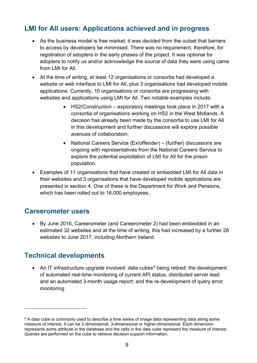## <span id="page-8-0"></span>**LMI for All users: Applications achieved and in progress**

- As the business model is free market, it was decided from the outset that barriers to access by developers be minimised. There was no requirement, therefore, for registration of adopters in the early phases of the project. It was optional for adopters to notify us and/or acknowledge the source of data they were using came from LMI for All.
- At the time of writing, at least 12 organisations or consortia had developed a website or web interface to LMI for All, plus 3 organisations had developed mobile applications. Currently, 10 organisations or consortia are progressing with websites and applications using LMI for All. Two notable examples include:
	- HS2/Construction exploratory meetings took place in 2017 with a consortia of organisations working on HS2 in the West Midlands. A decision has already been made by the consortia to use LMI for All in this development and further discussions will explore possible avenues of collaboration;
	- National Careers Service (Ex/offender) (further) discussions are ongoing with representatives from the National Careers Service to explore the potential exploitation of LMI for All for the prison population.
- Examples of 11 organisations that have created or embedded LMI for All data in their websites and 3 organisations that have developed mobile applications are presented in section 4. One of these is the Department for Work and Pensions, which has been rolled out to 16,000 employees.

#### <span id="page-8-1"></span>**Careerometer users**

• By June 2016, Careerometer (and Careerometer 2) had been embedded in an estimated 32 websites and at the time of writing, this had increased by a further 28 websites to June 2017, including Northern Ireland.

#### <span id="page-8-2"></span>**Technical developments**

 $\overline{a}$ 

• An IT infrastructure upgrade involved: data cubes<sup>[6](#page-8-3)</sup> being retired; the development of automated real-time monitoring of current API status, distributed server lead and an automated 3-month usage report; and the re-development of query error monitoring.

<span id="page-8-3"></span> $6$  A data cube is commonly used to describe a time series of image data representing data along some measure of interest. It can be 2-dimensional, 3-dimensional or higher-dimensional. Each dimension represents some attribute in the database and the cells in the data cube represent the measure of interest. Queries are performed on the cube to retrieve decision support information.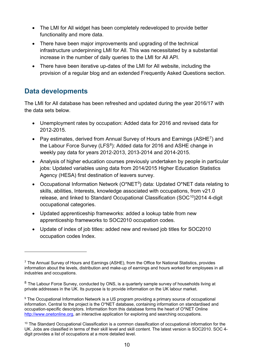- The LMI for All widget has been completely redeveloped to provide better functionality and more data.
- There have been major improvements and upgrading of the technical infrastructure underpinning LMI for All. This was necessitated by a substantial increase in the number of daily queries to the LMI for All API.
- There have been iterative up-dates of the LMI for All website, including the provision of a regular blog and an extended Frequently Asked Questions section.

## <span id="page-9-0"></span>**Data developments**

 $\overline{a}$ 

The LMI for All database has been refreshed and updated during the year 2016/17 with the data sets below.

- Unemployment rates by occupation: Added data for 2016 and revised data for 2012-2015.
- Pay estimates, derived from Annual Survey of Hours and Earnings (ASHE<sup>[7](#page-9-1)</sup>) and the Labour Force Survey (LFS<sup>[8](#page-9-2)</sup>): Added data for 2016 and ASHE change in weekly pay data for years 2012-2013, 2013-2014 and 2014-2015.
- Analysis of higher education courses previously undertaken by people in particular jobs: Updated variables using data from 2014/2015 Higher Education Statistics Agency (HESA) first destination of leavers survey.
- Occupational Information Network ( $O^*NET^9$ ) data: Updated  $O^*NET$  data relating to skills, abilities, Interests, knowledge associated with occupations, from v21.0 release, and linked to Standard Occupational Classification (SOC<sup>10</sup>)2014 4-digit occupational categories.
- Updated apprenticeship frameworks: added a lookup table from new apprenticeship frameworks to SOC2010 occupation codes.
- Update of index of job titles: added new and revised job titles for SOC2010 occupation codes Index.

<span id="page-9-1"></span> $7$  The Annual Survey of Hours and Earnings (ASHE), from the Office for National Statistics, provides information about the levels, distribution and make-up of earnings and hours worked for employees in all industries and occupations.

<span id="page-9-2"></span> $8$  The Labour Force Survey, conducted by ONS, is a quarterly sample survey of households living at private addresses in the UK. Its purpose is to provide information on the UK labour market.

<span id="page-9-3"></span><sup>&</sup>lt;sup>9</sup> The Occupational Information Network is a US program providing a primary source of occupational information. Central to the project is the O\*NET database, containing information on standardised and occupation-specific descriptors. Information from this database forms the heart of O\*NET Online [http://www.onetonline.org,](http://www.onetonline.org/) an interactive application for exploring and searching occupations.

<span id="page-9-4"></span><sup>&</sup>lt;sup>10</sup> The Standard Occupational Classification is a common classification of occupational information for the UK. Jobs are classified in terms of their skill level and skill content. The latest version is SOC2010. SOC 4 digit provides a list of occupations at a more detailed level.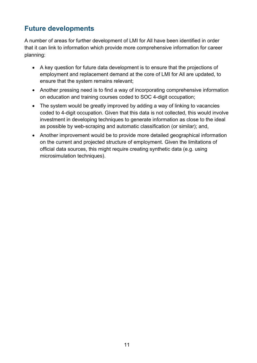# <span id="page-10-0"></span>**Future developments**

A number of areas for further development of LMI for All have been identified in order that it can link to information which provide more comprehensive information for career planning:

- A key question for future data development is to ensure that the projections of employment and replacement demand at the core of LMI for All are updated, to ensure that the system remains relevant;
- Another pressing need is to find a way of incorporating comprehensive information on education and training courses coded to SOC 4-digit occupation;
- The system would be greatly improved by adding a way of linking to vacancies coded to 4-digit occupation. Given that this data is not collected, this would involve investment in developing techniques to generate information as close to the ideal as possible by web-scraping and automatic classification (or similar); and,
- Another improvement would be to provide more detailed geographical information on the current and projected structure of employment. Given the limitations of official data sources, this might require creating synthetic data (e.g. using microsimulation techniques).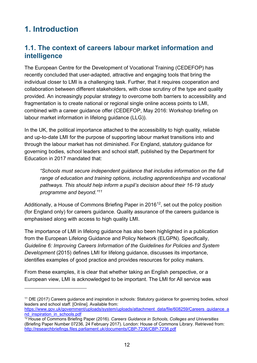# <span id="page-11-0"></span>**1. Introduction**

 $\overline{a}$ 

## <span id="page-11-1"></span>**1.1. The context of careers labour market information and intelligence**

The European Centre for the Development of Vocational Training (CEDEFOP) has recently concluded that user-adapted, attractive and engaging tools that bring the individual closer to LMI is a challenging task. Further, that it requires cooperation and collaboration between different stakeholders, with close scrutiny of the type and quality provided. An increasingly popular strategy to overcome both barriers to accessibility and fragmentation is to create national or regional single online access points to LMI, combined with a career guidance offer (CEDEFOP, May 2016: Workshop briefing on labour market information in lifelong guidance (LLG)).

In the UK, the political importance attached to the accessibility to high quality, reliable and up-to-date LMI for the purpose of supporting labour market transitions into and through the labour market has not diminished. For England, statutory guidance for governing bodies, school leaders and school staff, published by the Department for Education in 2017 mandated that:

*"Schools must secure independent guidance that includes information on the full range of education and training options, including apprenticeships and vocational pathways. This should help inform a pupil's decision about their 16-19 study programme and beyond."[11](#page-11-2)*

Additionally, a House of Commons Briefing Paper in 2016<sup>[12](#page-11-3)</sup>, set out the policy position (for England only) for careers guidance. Quality assurance of the careers guidance is emphasised along with access to high quality LMI.

The importance of LMI in lifelong guidance has also been highlighted in a publication from the European Lifelong Guidance and Policy Network (ELGPN). Specifically, *Guideline 6: Improving Careers Information of the Guidelines for Policies and System Development* (2015) defines LMI for lifelong guidance, discusses its importance, identifies examples of good practice and provides resources for policy makers.

From these examples, it is clear that whether taking an English perspective, or a European view, LMI is acknowledged to be important. The LMI for All service was

<span id="page-11-2"></span><sup>&</sup>lt;sup>11</sup> DfE (2017) Careers guidance and inspiration in schools: Statutory guidance for governing bodies, school leaders and school staff. [Online]. Available from:

[https://www.gov.uk/government/uploads/system/uploads/attachment\\_data/file/608259/Careers\\_guidance\\_a](https://www.gov.uk/government/uploads/system/uploads/attachment_data/file/608259/Careers_guidance_and_inspiration_in_schools.pdf) [nd\\_inspiration\\_in\\_schools.pdf](https://www.gov.uk/government/uploads/system/uploads/attachment_data/file/608259/Careers_guidance_and_inspiration_in_schools.pdf)

<span id="page-11-3"></span><sup>12</sup> House of Commons Briefing Paper (2016). *Careers Guidance in Schools, Colleges and Universities* (Briefing Paper Number 07236, 24 February 2017). London: House of Commons Library. Retrieved from: <http://researchbriefings.files.parliament.uk/documents/CBP-7236/CBP-7236.pdf>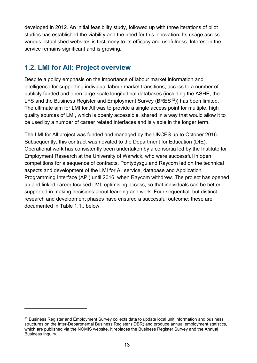developed in 2012. An initial feasibility study, followed up with three iterations of pilot studies has established the viability and the need for this innovation. Its usage across various established websites is testimony to its efficacy and usefulness. Interest in the service remains significant and is growing.

#### <span id="page-12-0"></span>**1.2. LMI for All: Project overview**

 $\overline{a}$ 

Despite a policy emphasis on the importance of labour market information and intelligence for supporting individual labour market transitions, access to a number of publicly funded and open large-scale longitudinal databases (including the ASHE, the LFS and the Business Register and Employment Survey (BRES<sup>13</sup>)) has been limited. The ultimate aim for LMI for All was to provide a single access point for multiple, high quality sources of LMI, which is openly accessible, shared in a way that would allow it to be used by a number of career related interfaces and is viable in the longer term.

The LMI for All project was funded and managed by the UKCES up to October 2016. Subsequently, this contract was novated to the Department for Education (DfE). Operational work has consistently been undertaken by a consortia led by the Institute for Employment Research at the University of Warwick, who were successful in open competitions for a sequence of contracts. Pontydysgu and Raycom led on the technical aspects and development of the LMI for All service, database and Application Programming Interface (API) until 2016, when Raycom withdrew. The project has opened up and linked career focused LMI, optimising access, so that individuals can be better supported in making decisions about learning and work. Four sequential, but distinct, research and development phases have ensured a successful outcome; these are documented in Table 1.1., below.

<span id="page-12-1"></span><sup>&</sup>lt;sup>13</sup> Business Register and Employment Survey collects data to update local unit information and business structures on the Inter-Departmental Business Register (IDBR) and produce annual employment statistics, which are published via the NOMIS website. It replaces the Business Register Survey and the Annual Business Inquiry.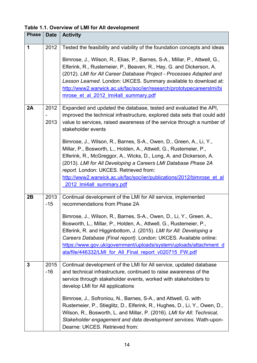<span id="page-13-0"></span>**Table 1.1. Overview of LMI for All development**

| <b>Phase</b> | <b>Date</b>   | <b>Activity</b>                                                                                                                                                                                                                                                                                                                                                                                                                                                                                                                                                                                                                                                                  |
|--------------|---------------|----------------------------------------------------------------------------------------------------------------------------------------------------------------------------------------------------------------------------------------------------------------------------------------------------------------------------------------------------------------------------------------------------------------------------------------------------------------------------------------------------------------------------------------------------------------------------------------------------------------------------------------------------------------------------------|
| 1            | 2012          | Tested the feasibility and viability of the foundation concepts and ideas<br>Bimrose, J., Wilson, R., Elias, P., Barnes, S-A., Millar, P., Attwell, G.,<br>Elferink, R., Rustemeier, P., Beaven, R., Hay, G. and Dickerson, A.<br>(2012). LMI for All Career Database Project - Processes Adapted and<br>Lesson Learned. London: UKCES. Summary available to download at:<br>http://www2.warwick.ac.uk/fac/soc/ier/research/prototypecareerslmi/bi<br>mrose et al 2012 Imi4all summary.pdf                                                                                                                                                                                       |
| 2A           | 2012<br>2013  | Expanded and updated the database, tested and evaluated the API,<br>improved the technical infrastructure, explored data sets that could add<br>value to services, raised awareness of the service through a number of<br>stakeholder events<br>Bimrose, J., Wilson, R., Barnes, S-A., Owen, D., Green, A., Li, Y.,<br>Millar, P., Bosworth, L., Holden, A., Attwell, G., Rustemeier, P.,<br>Elferink, R., McGreggor, A., Wicks, D., Long, A. and Dickerson, A.<br>(2013). LMI for All Developing a Careers LMI Database Phase 2A<br>report. London: UKCES. Retrieved from:<br>http://www2.warwick.ac.uk/fac/soc/ier/publications/2012/bimrose et al<br>2012 Imi4all summary.pdf |
| 2B           | 2013<br>$-15$ | Continual development of the LMI for All service, implemented<br>recommendations from Phase 2A<br>Bimrose, J., Wilson, R., Barnes, S-A., Owen, D., Li, Y., Green, A.,<br>Bosworth, L., Millar, P., Holden, A., Attwell, G., Rustemeier, P.,<br>Elferink, R. and Higginbottom, J. (2015). LMI for All: Developing a<br>Careers Database (Final report). London: UKCES. Available online:<br>https://www.gov.uk/government/uploads/system/uploads/attachment d<br>ata/file/446332/LMI for All Final report v020715 FW.pdf                                                                                                                                                          |
| 3            | 2015<br>$-16$ | Continual development of the LMI for All service, updated database<br>and technical infrastructure, continued to raise awareness of the<br>service through stakeholder events, worked with stakeholders to<br>develop LMI for All applications<br>Bimrose, J., Sofroniou, N., Barnes, S-A., and Attwell, G. with<br>Rustemeier, P., Stieglitz, D., Elferink, R., Hughes, D., Li, Y., Owen, D.,<br>Wilson, R., Bosworth, L. and Millar, P. (2016). LMI for All: Technical,<br>Stakeholder engagement and data development services. Wath-upon-<br>Dearne: UKCES. Retrieved from:                                                                                                  |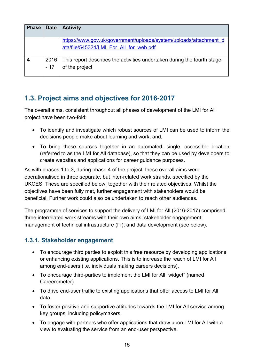| <b>Phase</b> | <b>Date</b>   | <b>Activity</b>                                                                                              |
|--------------|---------------|--------------------------------------------------------------------------------------------------------------|
|              |               | https://www.gov.uk/government/uploads/system/uploads/attachment_d<br>ata/file/545324/LMI For All for web.pdf |
|              | 2016<br>$-17$ | This report describes the activities undertaken during the fourth stage<br>of the project                    |

## <span id="page-14-0"></span>**1.3. Project aims and objectives for 2016-2017**

The overall aims, consistent throughout all phases of development of the LMI for All project have been two-fold:

- To identify and investigate which robust sources of LMI can be used to inform the decisions people make about learning and work; and,
- To bring these sources together in an automated, single, accessible location (referred to as the LMI for All database), so that they can be used by developers to create websites and applications for career guidance purposes.

As with phases 1 to 3, during phase 4 of the project, these overall aims were operationalised in three separate, but inter-related work strands, specified by the UKCES. These are specified below, together with their related objectives. Whilst the objectives have been fully met, further engagement with stakeholders would be beneficial. Further work could also be undertaken to reach other audiences.

The programme of services to support the delivery of LMI for All (2016-2017) comprised three interrelated work streams with their own aims: stakeholder engagement; management of technical infrastructure (IT); and data development (see below).

#### **1.3.1. Stakeholder engagement**

- To encourage third parties to exploit this free resource by developing applications or enhancing existing applications. This is to increase the reach of LMI for All among end-users (i.e. individuals making careers decisions).
- To encourage third-parties to implement the LMI for All "widget" (named Careerometer).
- To drive end-user traffic to existing applications that offer access to LMI for All data.
- To foster positive and supportive attitudes towards the LMI for All service among key groups, including policymakers.
- To engage with partners who offer applications that draw upon LMI for All with a view to evaluating the service from an end-user perspective.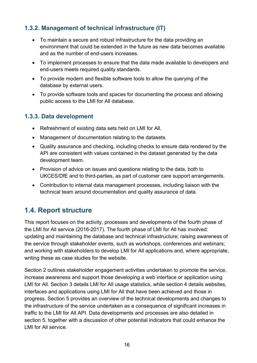#### **1.3.2. Management of technical infrastructure (IT)**

- To maintain a secure and robust infrastructure for the data providing an environment that could be extended in the future as new data becomes available and as the number of end-users increases.
- To implement processes to ensure that the data made available to developers and end-users meets required quality standards.
- To provide modern and flexible software tools to allow the querying of the database by external users.
- To provide software tools and spaces for documenting the process and allowing public access to the LMI for All database.

#### **1.3.3. Data development**

- Refreshment of existing data sets held on LMI for All.
- Management of documentation relating to the datasets.
- Quality assurance and checking, including checks to ensure data rendered by the API are consistent with values contained in the dataset generated by the data development team.
- Provision of advice on issues and questions relating to the data, both to UKCES/DfE and to third-parties, as part of customer care support arrangements.
- Contribution to internal data management processes, including liaison with the technical team around documentation and quality assurance of data.

## <span id="page-15-0"></span>**1.4. Report structure**

This report focuses on the activity, processes and developments of the fourth phase of the LMI for All service (2016-2017). The fourth phase of LMI for All has involved: updating and maintaining the database and technical infrastructure; raising awareness of the service through stakeholder events, such as workshops, conferences and webinars; and working with stakeholders to develop LMI for All applications and, where appropriate, writing these as case studies for the website.

Section 2 outlines stakeholder engagement activities undertaken to promote the service, increase awareness and support those developing a web interface or application using LMI for All. Section 3 details LMI for All usage statistics, while section 4 details websites, interfaces and applications using LMI for All that have been achieved and those in progress. Section 5 provides an overview of the technical developments and changes to the infrastructure of the service undertaken as a consequence of significant increases in traffic to the LMI for All API. Data developments and processes are also detailed in section 5, together with a discussion of other potential indicators that could enhance the LMI for All service.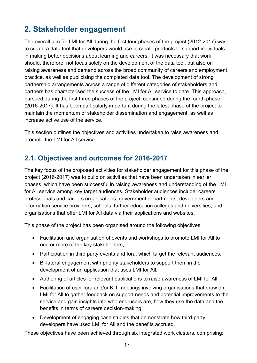# <span id="page-16-0"></span>**2. Stakeholder engagement**

The overall aim for LMI for All during the first four phases of the project (2012-2017) was to create a data tool that developers would use to create products to support individuals in making better decisions about learning and careers. It was necessary that work should, therefore, not focus solely on the development of the data tool, but also on raising awareness and demand across the broad community of careers and employment practice, as well as publicising the completed data tool. The development of strong partnership arrangements across a range of different categories of stakeholders and partners has characterised the success of the LMI for All service to date. This approach, pursued during the first three phases of the project, continued during the fourth phase (2016-2017). It has been particularly important during the latest phase of the project to maintain the momentum of stakeholder dissemination and engagement, as well as increase active use of the service.

This section outlines the objectives and activities undertaken to raise awareness and promote the LMI for All service.

# <span id="page-16-1"></span>**2.1. Objectives and outcomes for 2016-2017**

The key focus of the proposed activities for stakeholder engagement for this phase of the project (2016-2017) was to build on activities that have been undertaken in earlier phases, which have been successful in raising awareness and understanding of the LMI for All service among key target audiences. Stakeholder audiences include: careers professionals and careers organisations; government departments; developers and information service providers; schools, further education colleges and universities; and, organisations that offer LMI for All data via their applications and websites.

This phase of the project has been organised around the following objectives:

- Facilitation and organisation of events and workshops to promote LMI for All to one or more of the key stakeholders;
- Participation in third party events and fora, which target the relevant audiences;
- Bi-lateral engagement with priority stakeholders to support them in the development of an application that uses LMI for All;
- Authoring of articles for relevant publications to raise awareness of LMI for All;
- Facilitation of user fora and/or KIT meetings involving organisations that draw on LMI for All to gather feedback on support needs and potential improvements to the service and gain insights into who end-users are, how they use the data and the benefits in terms of careers decision-making;
- Development of engaging case studies that demonstrate how third-party developers have used LMI for All and the benefits accrued.

These objectives have been achieved through six integrated work clusters, comprising: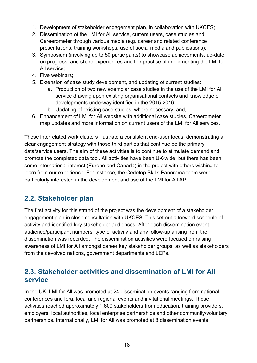- 1. Development of stakeholder engagement plan, in collaboration with UKCES;
- 2. Dissemination of the LMI for All service, current users, case studies and Careerometer through various media (e.g. career and related conference presentations, training workshops, use of social media and publications);
- 3. Symposium (involving up to 50 participants) to showcase achievements, up-date on progress, and share experiences and the practice of implementing the LMI for All service;
- 4. Five webinars;
- 5. Extension of case study development, and updating of current studies:
	- a. Production of two new exemplar case studies in the use of the LMI for All service drawing upon existing organisational contacts and knowledge of developments underway identified in the 2015-2016;
	- b. Updating of existing case studies, where necessary; and,
- 6. Enhancement of LMI for All website with additional case studies, Careerometer map updates and more information on current users of the LMI for All services.

These interrelated work clusters illustrate a consistent end-user focus, demonstrating a clear engagement strategy with those third parties that continue be the primary data/service users. The aim of these activities is to continue to stimulate demand and promote the completed data tool. All activities have been UK-wide, but there has been some international interest (Europe and Canada) in the project with others wishing to learn from our experience. For instance, the Cedefop Skills Panorama team were particularly interested in the development and use of the LMI for All API.

## <span id="page-17-0"></span>**2.2. Stakeholder plan**

The first activity for this strand of the project was the development of a stakeholder engagement plan in close consultation with UKCES. This set out a forward schedule of activity and identified key stakeholder audiences. After each dissemination event, audience/participant numbers, type of activity and any follow-up arising from the dissemination was recorded. The dissemination activities were focused on raising awareness of LMI for All amongst career key stakeholder groups, as well as stakeholders from the devolved nations, government departments and LEPs.

#### <span id="page-17-1"></span>**2.3. Stakeholder activities and dissemination of LMI for All service**

In the UK, LMI for All was promoted at 24 dissemination events ranging from national conferences and fora, local and regional events and invitational meetings. These activities reached approximately 1,600 stakeholders from education, training providers, employers, local authorities, local enterprise partnerships and other community/voluntary partnerships. Internationally, LMI for All was promoted at 8 dissemination events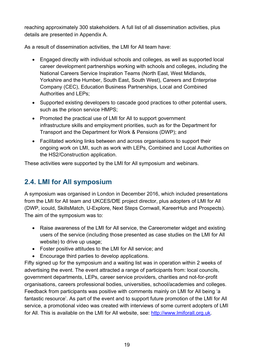reaching approximately 300 stakeholders. A full list of all dissemination activities, plus details are presented in Appendix A.

As a result of dissemination activities, the LMI for All team have:

- Engaged directly with individual schools and colleges, as well as supported local career development partnerships working with schools and colleges, including the National Careers Service Inspiration Teams (North East, West Midlands, Yorkshire and the Humber, South East, South West), Careers and Enterprise Company (CEC), Education Business Partnerships, Local and Combined Authorities and LEPs;
- Supported existing developers to cascade good practices to other potential users, such as the prison service HMPS;
- Promoted the practical use of LMI for All to support government infrastructure skills and employment priorities, such as for the Department for Transport and the Department for Work & Pensions (DWP); and
- Facilitated working links between and across organisations to support their ongoing work on LMI, such as work with LEPs, Combined and Local Authorities on the HS2/Construction application.

These activities were supported by the LMI for All symposium and webinars.

# <span id="page-18-0"></span>**2.4. LMI for All symposium**

A symposium was organised in London in December 2016, which included presentations from the LMI for All team and UKCES/DfE project director, plus adopters of LMI for All (DWP, icould, SkillsMatch, U-Explore, Next Steps Cornwall, KareerHub and Prospects). The aim of the symposium was to:

- Raise awareness of the LMI for All service, the Careerometer widget and existing users of the service (including those presented as case studies on the LMI for All website) to drive up usage;
- Foster positive attitudes to the LMI for All service; and
- Encourage third parties to develop applications.

Fifty signed up for the symposium and a waiting list was in operation within 2 weeks of advertising the event. The event attracted a range of participants from: local councils, government departments, LEPs, career service providers, charities and not-for-profit organisations, careers professional bodies, universities, school/academies and colleges. Feedback from participants was positive with comments mainly on LMI for All being 'a fantastic resource'. As part of the event and to support future promotion of the LMI for All service, a promotional video was created with interviews of some current adopters of LMI for All. This is available on the LMI for All website, see: [http://www.lmiforall.org.uk.](http://www.lmiforall.org.uk/)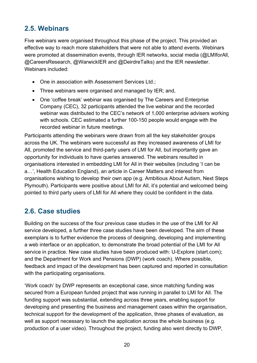# <span id="page-19-0"></span>**2.5. Webinars**

Five webinars were organised throughout this phase of the project. This provided an effective way to reach more stakeholders that were not able to attend events. Webinars were promoted at dissemination events, through IER networks, social media (@LMIforAll, @CareersResearch, @WarwickIER and @DeirdreTalks) and the IER newsletter. Webinars included:

- One in association with Assessment Services Ltd.;
- Three webinars were organised and managed by IER; and,
- One 'coffee break' webinar was organised by The Careers and Enterprise Company (CEC), 32 participants attended the live webinar and the recorded webinar was distributed to the CEC's network of 1,000 enterprise advisers working with schools. CEC estimated a further 100-150 people would engage with the recorded webinar in future meetings.

Participants attending the webinars were drawn from all the key stakeholder groups across the UK. The webinars were successful as they increased awareness of LMI for All, promoted the service and third-party users of LMI for All, but importantly gave an opportunity for individuals to have queries answered. The webinars resulted in organisations interested in embedding LMI for All in their websites (including 'I can be a…', Health Education England), an article in Career Matters and interest from organisations wishing to develop their own app (e.g. Ambitious About Autism, Next Steps Plymouth). Participants were positive about LMI for All, it's potential and welcomed being pointed to third party users of LMI for All where they could be confident in the data.

#### <span id="page-19-1"></span>**2.6. Case studies**

Building on the success of the four previous case studies in the use of the LMI for All service developed, a further three case studies have been developed. The aim of these exemplars is to further evidence the process of designing, developing and implementing a web interface or an application, to demonstrate the broad potential of the LMI for All service in practice. New case studies have been produced with: U-Explore (start.com); and the Department for Work and Pensions (DWP) (work coach). Where possible, feedback and impact of the development has been captured and reported in consultation with the participating organisations.

'Work coach' by DWP represents an exceptional case, since matching funding was secured from a European funded project that was running in parallel to LMI for All. The funding support was substantial, extending across three years, enabling support for developing and presenting the business and management cases within the organisation, technical support for the development of the application, three phases of evaluation, as well as support necessary to launch the application across the whole business (e.g. production of a user video). Throughout the project, funding also went directly to DWP,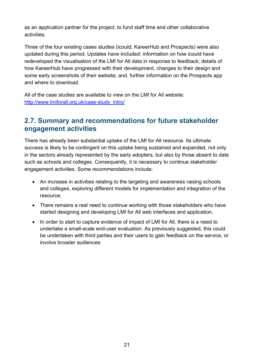as an application partner for the project, to fund staff time and other collaborative activities.

Three of the four existing cases studies (icould, KareerHub and Prospects) were also updated during this period. Updates have included: information on how icould have redeveloped the visualisation of the LMI for All data in response to feedback; details of how KareerHub have progressed with their development, changes to their design and some early screenshots of their website; and, further information on the Prospects app and where to download.

All of the case studies are available to view on the LMI for All website: [http://www.lmiforall.org.uk/case-study\\_intro/](http://www.lmiforall.org.uk/case-study_intro/)

#### <span id="page-20-0"></span>**2.7. Summary and recommendations for future stakeholder engagement activities**

There has already been substantial uptake of the LMI for All resource. Its ultimate success is likely to be contingent on this uptake being sustained and expanded, not only in the sectors already represented by the early adopters, but also by those absent to date such as schools and colleges. Consequently, it is necessary to continue stakeholder engagement activities. Some recommendations include:

- An increase in activities relating to the targeting and awareness raising schools and colleges, exploring different models for implementation and integration of the resource.
- There remains a real need to continue working with those stakeholders who have started designing and developing LMI for All web interfaces and application.
- In order to start to capture evidence of impact of LMI for All, there is a need to undertake a small-scale end-user evaluation. As previously suggested, this could be undertaken with third parties and their users to gain feedback on the service, or involve broader audiences.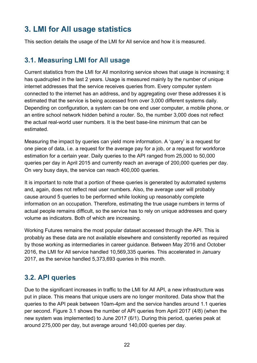# <span id="page-21-0"></span>**3. LMI for All usage statistics**

This section details the usage of the LMI for All service and how it is measured.

## <span id="page-21-1"></span>**3.1. Measuring LMI for All usage**

Current statistics from the LMI for All monitoring service shows that usage is increasing; it has quadrupled in the last 2 years. Usage is measured mainly by the number of unique internet addresses that the service receives queries from. Every computer system connected to the internet has an address, and by aggregating over these addresses it is estimated that the service is being accessed from over 3,000 different systems daily. Depending on configuration, a system can be one end user computer, a mobile phone, or an entire school network hidden behind a router. So, the number 3,000 does not reflect the actual real-world user numbers. It is the best base-line minimum that can be estimated.

Measuring the impact by queries can yield more information. A 'query' is a request for one piece of data, i.e. a request for the average pay for a job, or a request for workforce estimation for a certain year. Daily queries to the API ranged from 25,000 to 50,000 queries per day in April 2015 and currently reach an average of 200,000 queries per day. On very busy days, the service can reach 400,000 queries.

It is important to note that a portion of these queries is generated by automated systems and, again, does not reflect real user numbers. Also, the average user will probably cause around 5 queries to be performed while looking up reasonably complete information on an occupation. Therefore, estimating the true usage numbers in terms of actual people remains difficult, so the service has to rely on unique addresses and query volume as indicators. Both of which are increasing.

Working Futures remains the most popular dataset accessed through the API. This is probably as these data are not available elsewhere and consistently reported as required by those working as intermediaries in career guidance. Between May 2016 and October 2016, the LMI for All service handled 10,569,335 queries. This accelerated in January 2017, as the service handled 5,373,693 queries in this month.

# <span id="page-21-2"></span>**3.2. API queries**

Due to the significant increases in traffic to the LMI for All API, a new infrastructure was put in place. This means that unique users are no longer monitored. Data show that the queries to the API peak between 10am-4pm and the service handles around 1.1 queries per second. Figure 3.1 shows the number of API queries from April 2017 (4/8) (when the new system was implemented) to June 2017 (6/1). During this period, queries peak at around 275,000 per day, but average around 140,000 queries per day.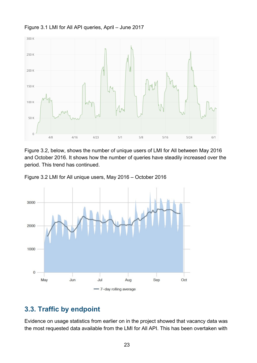

<span id="page-22-1"></span>Figure 3.1 LMI for All API queries, April – June 2017

Figure 3.2, below, shows the number of unique users of LMI for All between May 2016 and October 2016. It shows how the number of queries have steadily increased over the period. This trend has continued.

<span id="page-22-2"></span>Figure 3.2 LMI for All unique users, May 2016 – October 2016



#### <span id="page-22-0"></span>**3.3. Traffic by endpoint**

Evidence on usage statistics from earlier on in the project showed that vacancy data was the most requested data available from the LMI for All API. This has been overtaken with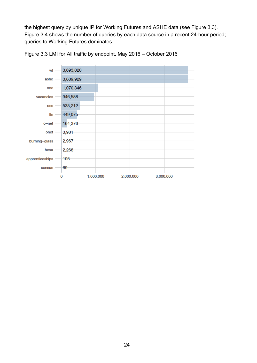the highest query by unique IP for Working Futures and ASHE data (see Figure 3.3). Figure 3.4 shows the number of queries by each data source in a recent 24-hour period; queries to Working Futures dominates.

<span id="page-23-1"></span>

<span id="page-23-0"></span>Figure 3.3 LMI for All traffic by endpoint, May 2016 – October 2016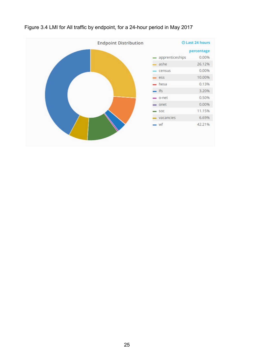

#### Figure 3.4 LMI for All traffic by endpoint, for a 24-hour period in May 2017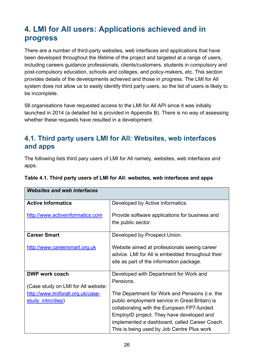# <span id="page-25-0"></span>**4. LMI for All users: Applications achieved and in progress**

There are a number of third-party websites, web interfaces and applications that have been developed throughout the lifetime of the project and targeted at a range of users, including careers guidance professionals, clients/customers, students in compulsory and post-compulsory education, schools and colleges, and policy-makers, etc. This section provides details of the developments achieved and those in progress. The LMI for All system does not allow us to easily identify third party users, so the list of users is likely to be incomplete.

58 organisations have requested access to the LMI for All API since it was initially launched in 2014 (a detailed list is provided in Appendix B). There is no way of assessing whether these requests have resulted in a development.

#### <span id="page-25-1"></span>**4.1. Third party users LMI for All: Websites, web interfaces and apps**

The following lists third pary users of LMI for All namely, websites, web interfaces and apps.

| <b>Active Informatics</b>           | Developed by Active Informatics.                 |
|-------------------------------------|--------------------------------------------------|
| http://www.activeinformatics.com    | Provide software applications for business and   |
|                                     | the public sector.                               |
| <b>Career Smart</b>                 | Developed by Prospect Union.                     |
| http://www.careersmart.org.uk       | Website aimed at professionals seeing career     |
|                                     | advice. LMI for All is embedded throughout their |
|                                     | site as part of the information package.         |
| <b>DWP work coach</b>               | Developed with Department for Work and           |
|                                     | Pensions.                                        |
| (Case study on LMI for All website: |                                                  |
| http://www.lmiforall.org.uk/case-   | The Department for Work and Pensions (i.e. the   |
| study intro/dwp)                    | public employment service in Great Britain) is   |
|                                     | collaborating with the European FP7-funded       |
|                                     | EmployID project. They have developed and        |
|                                     | implemented a dashboard, called Career Coach.    |
|                                     | This is being used by Job Centre Plus work       |

#### <span id="page-25-2"></span>**Table 4.1. Third party users of LMI for All: websites, web interfaces and apps**

*Websites and web interfaces*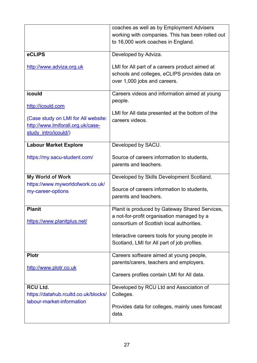|                                      | coaches as well as by Employment Advisers                                               |
|--------------------------------------|-----------------------------------------------------------------------------------------|
|                                      | working with companies. This has been rolled out                                        |
|                                      | to 16,000 work coaches in England.                                                      |
|                                      |                                                                                         |
| eCLIPS                               | Developed by Adviza.                                                                    |
| http://www.adviza.org.uk             | LMI for All part of a careers product aimed at                                          |
|                                      | schools and colleges, eCLIPS provides data on                                           |
|                                      |                                                                                         |
|                                      | over 1,000 jobs and careers.                                                            |
| icould                               | Careers videos and information aimed at young                                           |
|                                      | people.                                                                                 |
| http://icould.com                    |                                                                                         |
|                                      | LMI for All data presented at the bottom of the                                         |
| (Case study on LMI for All website:  | careers videos.                                                                         |
| http://www.lmiforall.org.uk/case-    |                                                                                         |
| study intro/icould/)                 |                                                                                         |
| <b>Labour Market Explore</b>         | Developed by SACU.                                                                      |
|                                      |                                                                                         |
| https://my.sacu-student.com/         | Source of careers information to students,                                              |
|                                      | parents and teachers.                                                                   |
|                                      |                                                                                         |
| <b>My World of Work</b>              | Developed by Skills Development Scotland.                                               |
|                                      |                                                                                         |
| https://www.myworldofwork.co.uk/     |                                                                                         |
| my-career-options                    | Source of careers information to students,                                              |
|                                      | parents and teachers.                                                                   |
| <b>Planit</b>                        | Planit is produced by Gateway Shared Services,                                          |
|                                      |                                                                                         |
| https://www.planitplus.net/          | a not-for-profit organisation managed by a<br>consortium of Scottish local authorities. |
|                                      |                                                                                         |
|                                      | Interactive careers tools for young people in                                           |
|                                      | Scotland, LMI for All part of job profiles.                                             |
|                                      |                                                                                         |
| <b>Plotr</b>                         | Careers software aimed at young people,                                                 |
| http://www.plotr.co.uk               | parents/carers, teachers and employers.                                                 |
|                                      | Careers profiles contain LMI for All data.                                              |
|                                      |                                                                                         |
| <b>RCU Ltd.</b>                      | Developed by RCU Ltd and Association of                                                 |
| https://datahub.rcultd.co.uk/blocks/ | Colleges.                                                                               |
| labour-market-information            |                                                                                         |
|                                      | Provides data for colleges, mainly uses forecast<br>data.                               |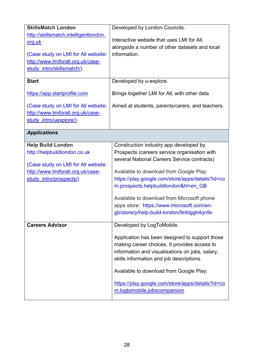| <b>SkillsMatch London</b>             | Developed by London Councils.                    |
|---------------------------------------|--------------------------------------------------|
| http://skillsmatch.intelligentlondon. |                                                  |
| org.uk                                | Interactive website that uses LMI for All,       |
|                                       | alongside a number of other datasets and local   |
| (Case study on LMI for All website:   | information.                                     |
| http://www.lmiforall.org.uk/case-     |                                                  |
| study intro/skillsmatch/)             |                                                  |
| <b>Start</b>                          | Developed by u-explore.                          |
| https://app.startprofile.com          | Brings together LMI for All, with other data     |
| (Case study on LMI for All website:   | Aimed at students, parents/carers, and teachers. |
| http://www.lmiforall.org.uk/case-     |                                                  |
| study intro/uexplore/)                |                                                  |
|                                       |                                                  |
| <b>Applications</b>                   |                                                  |
| <b>Help Build London</b>              | Construction industry app developed by           |
| http://helpbuildlondon.co.uk          | Prospects (careers service organisation with     |
|                                       | several National Careers Service contracts)      |
| (Case study on LMI for All website:   |                                                  |
| http://www.lmiforall.org.uk/case-     | Available to download from Google Play:          |
| study intro/prospects/)               | https://play.google.com/store/apps/details?id=co |
|                                       | m.prospects.helpbuildlondon&hl=en_GB             |
|                                       | Available to download from Microsoft phone       |
|                                       | apps store: https://www.microsoft.com/en-        |
|                                       | gb/store/p/help-build-london/9nblggh4qn9v        |
| <b>Careers Advisor</b>                | Developed by LogToMobile.                        |
|                                       |                                                  |
|                                       | Application has been designed to support those   |
|                                       | making career choices. It provides access to     |
|                                       | information and visualisations on jobs, salary,  |
|                                       | skills information and job descriptions.         |
|                                       | Available to download from Google Play:          |
|                                       | https://play.google.com/store/apps/details?id=co |
|                                       | m.logtomobile.jobscomparsion                     |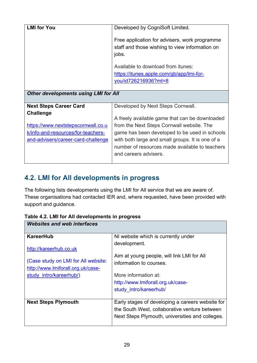| <b>LMI for You</b>                                                                                                                                                  | Developed by CogniSoft Limited.                                                                                                                                                                                                                                                                                 |
|---------------------------------------------------------------------------------------------------------------------------------------------------------------------|-----------------------------------------------------------------------------------------------------------------------------------------------------------------------------------------------------------------------------------------------------------------------------------------------------------------|
|                                                                                                                                                                     | Free application for advisers, work programme<br>staff and those wishing to view information on<br>jobs.                                                                                                                                                                                                        |
|                                                                                                                                                                     | Available to download from itunes:<br>https://itunes.apple.com/gb/app/lmi-for-<br>you/id726216936?mt=8                                                                                                                                                                                                          |
| <b>Other developments using LMI for All</b>                                                                                                                         |                                                                                                                                                                                                                                                                                                                 |
| <b>Next Steps Career Card</b><br><b>Challenge</b><br>https://www.nextstepscornwall.co.u<br>k/info-and-resources/for-teachers-<br>and-advisers/career-card-challenge | Developed by Next Steps Cornwall.<br>A freely available game that can be downloaded<br>from the Next Steps Cornwall website. The<br>game has been developed to be used in schools<br>with both large and small groups. It is one of a<br>number of resources made available to teachers<br>and careers advisers |

## <span id="page-28-0"></span>**4.2. LMI for All developments in progress**

The following lists developments using the LMI for All service that we are aware of. These organisations had contacted IER and, where requested, have been provided with support and guidance.

| <b>Websites and web interfaces</b>  |                                                  |  |
|-------------------------------------|--------------------------------------------------|--|
| <b>KareerHub</b>                    | NI website which is currently under              |  |
| http://kareerhub.co.uk              | development.                                     |  |
|                                     | Aim at young people, will link LMI for All       |  |
| (Case study on LMI for All website: | information to courses.                          |  |
| http://www.lmiforall.org.uk/case-   |                                                  |  |
| study intro/kareerhub/)             | More information at:                             |  |
|                                     | http://www.lmiforall.org.uk/case-                |  |
|                                     | study intro/kareerhub/                           |  |
|                                     |                                                  |  |
| <b>Next Steps Plymouth</b>          | Early stages of developing a careers website for |  |
|                                     | the South West, collaborative venture between    |  |
|                                     | Next Steps Plymouth, universities and colleges.  |  |

<span id="page-28-1"></span>**Table 4.2. LMI for All developments in progress**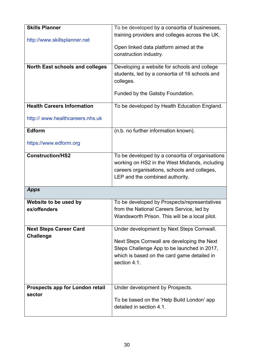| <b>Skills Planner</b>                     | To be developed by a consortia of businesses,               |
|-------------------------------------------|-------------------------------------------------------------|
|                                           | training providers and colleges across the UK.              |
| http://www.skillsplanner.net              |                                                             |
|                                           | Open linked data platform aimed at the                      |
|                                           | construction industry.                                      |
| <b>North East schools and colleges</b>    | Developing a website for schools and college                |
|                                           | students, led by a consortia of 16 schools and              |
|                                           | colleges.                                                   |
|                                           | Funded by the Gatsby Foundation.                            |
|                                           |                                                             |
| <b>Health Careers Information</b>         | To be developed by Health Education England.                |
|                                           |                                                             |
| http:// www.healthcareers.nhs.uk          |                                                             |
| Edform                                    | (n.b. no further information known).                        |
|                                           |                                                             |
| https://www.edform.org                    |                                                             |
| <b>Construction/HS2</b>                   | To be developed by a consortia of organisations             |
|                                           | working on HS2 in the West Midlands, including              |
|                                           | careers organisations, schools and colleges,                |
|                                           | LEP and the combined authority.                             |
| <b>Apps</b>                               |                                                             |
|                                           |                                                             |
| Website to be used by                     | To be developed by Prospects/representatives                |
| ex/offenders                              | from the National Careers Service, led by                   |
|                                           | Wandsworth Prison. This will be a local pilot.              |
| <b>Next Steps Career Card</b>             | Under development by Next Steps Cornwall.                   |
| <b>Challenge</b>                          |                                                             |
|                                           | Next Steps Cornwall are developing the Next                 |
|                                           | Steps Challenge App to be launched in 2017,                 |
|                                           | which is based on the card game detailed in<br>section 4.1. |
|                                           |                                                             |
|                                           |                                                             |
|                                           |                                                             |
| Prospects app for London retail<br>sector | Under development by Prospects.                             |
|                                           | To be based on the 'Help Build London' app                  |
|                                           | detailed in section 4.1.                                    |
|                                           |                                                             |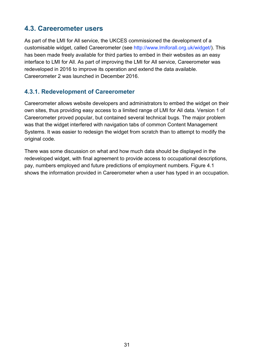#### <span id="page-30-0"></span>**4.3. Careerometer users**

As part of the LMI for All service, the UKCES commissioned the development of a customisable widget, called Careerometer (see [http://www.lmiforall.org.uk/widget/\)](http://www.lmiforall.org.uk/widget/). This has been made freely available for third parties to embed in their websites as an easy interface to LMI for All. As part of improving the LMI for All service, Careerometer was redeveloped in 2016 to improve its operation and extend the data available. Careerometer 2 was launched in December 2016.

#### **4.3.1. Redevelopment of Careerometer**

Careerometer allows website developers and administrators to embed the widget on their own sites, thus providing easy access to a limited range of LMI for All data. Version 1 of Careerometer proved popular, but contained several technical bugs. The major problem was that the widget interfered with navigation tabs of common Content Management Systems. It was easier to redesign the widget from scratch than to attempt to modify the original code.

<span id="page-30-1"></span>There was some discussion on what and how much data should be displayed in the redeveloped widget, with final agreement to provide access to occupational descriptions, pay, numbers employed and future predictions of employment numbers. Figure 4.1 shows the information provided in Careerometer when a user has typed in an occupation.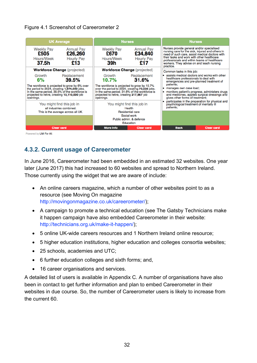#### Figure 4.1 Screenshot of Careerometer 2



#### **4.3.2. Current usage of Careerometer**

In June 2016, Careerometer had been embedded in an estimated 32 websites. One year later (June 2017) this had increased to 60 websites and spread to Northern Ireland. Those currently using the widget that we are aware of include:

- An online careers magazine, which a number of other websites point to as a resource (see Moving On magazine [http://movingonmagazine.co.uk/careerometer/\);](http://movingonmagazine.co.uk/careerometer/))
- A campaign to promote a technical education (see The Gatsby Technicians make it happen campaign have also embedded Careerometer in their website: [http://technicians.org.uk/make-it-happen/\);](http://technicians.org.uk/make-it-happen/))
- 5 online UK-wide careers resources and 1 Northern Ireland online resource;
- 5 higher education institutions, higher education and colleges consortia websites;
- 25 schools, academies and UTC:
- 6 further education colleges and sixth forms; and,
- 16 career organisations and services.

A detailed list of users is available in Appendix C. A number of organisations have also been in contact to get further information and plan to embed Careerometer in their websites in due course. So, the number of Careerometer users is likely to increase from the current 60.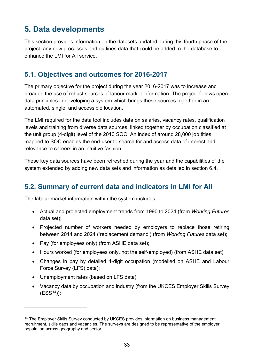# <span id="page-32-0"></span>**5. Data developments**

This section provides information on the datasets updated during this fourth phase of the project, any new processes and outlines data that could be added to the database to enhance the LMI for All service.

## <span id="page-32-1"></span>**5.1. Objectives and outcomes for 2016-2017**

The primary objective for the project during the year 2016-2017 was to increase and broaden the use of robust sources of labour market information. The project follows open data principles in developing a system which brings these sources together in an automated, single, and accessible location.

The LMI required for the data tool includes data on salaries, vacancy rates, qualification levels and training from diverse data sources, linked together by occupation classified at the unit group (4-digit) level of the 2010 SOC. An index of around 28,000 job titles mapped to SOC enables the end-user to search for and access data of interest and relevance to careers in an intuitive fashion.

These key data sources have been refreshed during the year and the capabilities of the system extended by adding new data sets and information as detailed in section 6.4.

# <span id="page-32-2"></span>**5.2. Summary of current data and indicators in LMI for All**

The labour market information within the system includes:

- Actual and projected employment trends from 1990 to 2024 (from *Working Futures* data set);
- Projected number of workers needed by employers to replace those retiring between 2014 and 2024 ('replacement demand') (from *Working Futures* data set);
- Pay (for employees only) (from ASHE data set);
- Hours worked (for employees only, not the self-employed) (from ASHE data set);
- Changes in pay by detailed 4-digit occupation (modelled on ASHE and Labour Force Survey (LFS) data);
- Unemployment rates (based on LFS data);

 $\overline{a}$ 

• Vacancy data by occupation and industry (from the UKCES Employer Skills Survey  $(ESS^{14})$  $(ESS^{14})$  $(ESS^{14})$ ;

<span id="page-32-3"></span><sup>&</sup>lt;sup>14</sup> The Employer Skills Survey conducted by UKCES provides information on business management, recruitment, skills gaps and vacancies. The surveys are designed to be representative of the employer population across geography and sector.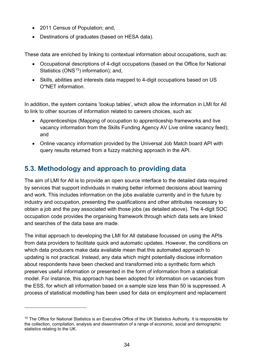- 2011 Census of Population; and,
- Destinations of graduates (based on HESA data).

These data are enriched by linking to contextual information about occupations, such as:

- Occupational descriptions of 4-digit occupations (based on the Office for National Statistics ( $ONS<sup>15</sup>$  $ONS<sup>15</sup>$  $ONS<sup>15</sup>$ ) information); and,
- Skills, abilities and interests data mapped to 4-digit occupations based on US O\*NET information.

In addition, the system contains 'lookup tables', which allow the information in LMI for All to link to other sources of information related to careers choices, such as:

- Apprenticeships (Mapping of occupation to apprenticeship frameworks and live vacancy information from the Skills Funding Agency AV Live online vacancy feed); and
- Online vacancy information provided by the Universal Job Match board API with query results returned from a fuzzy matching approach in the API.

# <span id="page-33-0"></span>**5.3. Methodology and approach to providing data**

The aim of LMI for All is to provide an open source interface to the detailed data required by services that support individuals in making better informed decisions about learning and work. This includes information on the jobs available currently and in the future by industry and occupation, presenting the qualifications and other attributes necessary to obtain a job and the pay associated with those jobs (as detailed above). The 4-digit SOC occupation code provides the organising framework through which data sets are linked and searches of the data base are made.

The initial approach to developing the LMI for All database focussed on using the APIs from data providers to facilitate quick and automatic updates. However, the conditions on which data producers make data available mean that this automated approach to updating is not practical. Instead, any data which might potentially disclose information about respondents have been checked and transformed into a synthetic form which preserves useful information or presented in the form of information from a statistical model. For instance, this approach has been adopted for information on vacancies from the ESS, for which all information based on a sample size less than 50 is suppressed. A process of statistical modelling has been used for data on employment and replacement

 $\overline{a}$ 

<span id="page-33-1"></span><sup>&</sup>lt;sup>15</sup> The Office for National Statistics is an Executive Office of the UK Statistics Authority. It is responsible for the collection, compilation, analysis and dissemination of a range of economic, social and demographic statistics relating to the UK.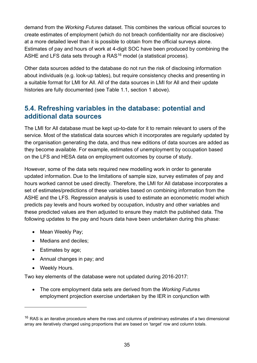demand from the *Working Futures* dataset. This combines the various official sources to create estimates of employment (which do not breach confidentiality nor are disclosive) at a more detailed level than it is possible to obtain from the official surveys alone. Estimates of pay and hours of work at 4-digit SOC have been produced by combining the ASHE and LFS data sets through a  $RAS^{16}$  $RAS^{16}$  $RAS^{16}$  model (a statistical process).

Other data sources added to the database do not run the risk of disclosing information about individuals (e.g. look-up tables), but require consistency checks and presenting in a suitable format for LMI for All. All of the data sources in LMI for All and their update histories are fully documented (see Table 1.1, section 1 above).

## <span id="page-34-0"></span>**5.4. Refreshing variables in the database: potential and additional data sources**

The LMI for All database must be kept up-to-date for it to remain relevant to users of the service. Most of the statistical data sources which it incorporates are regularly updated by the organisation generating the data, and thus new editions of data sources are added as they become available. For example, estimates of unemployment by occupation based on the LFS and HESA data on employment outcomes by course of study.

However, some of the data sets required new modelling work in order to generate updated information. Due to the limitations of sample size, survey estimates of pay and hours worked cannot be used directly. Therefore, the LMI for All database incorporates a set of estimates/predictions of these variables based on combining information from the ASHE and the LFS. Regression analysis is used to estimate an econometric model which predicts pay levels and hours worked by occupation, industry and other variables and these predicted values are then adjusted to ensure they match the published data. The following updates to the pay and hours data have been undertaken during this phase:

- Mean Weekly Pay;
- Medians and deciles;
- Estimates by age;
- Annual changes in pay; and
- Weekly Hours.

 $\overline{a}$ 

Two key elements of the database were not updated during 2016-2017:

• The core employment data sets are derived from the *Working Futures* employment projection exercise undertaken by the IER in conjunction with

<span id="page-34-1"></span> $16$  RAS is an iterative procedure where the rows and columns of preliminary estimates of a two dimensional array are iteratively changed using proportions that are based on 'target' row and column totals.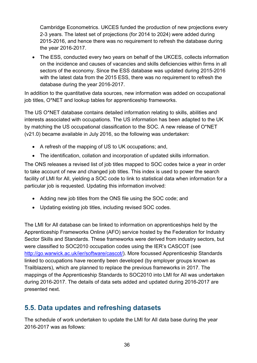Cambridge Econometrics. UKCES funded the production of new projections every 2-3 years. The latest set of projections (for 2014 to 2024) were added during 2015-2016, and hence there was no requirement to refresh the database during the year 2016-2017.

• The ESS, conducted every two years on behalf of the UKCES, collects information on the incidence and causes of vacancies and skills deficiencies within firms in all sectors of the economy. Since the ESS database was updated during 2015-2016 with the latest data from the 2015 ESS, there was no requirement to refresh the database during the year 2016-2017.

In addition to the quantitative data sources, new information was added on occupational job titles, O\*NET and lookup tables for apprenticeship frameworks.

The US O\*NET database contains detailed information relating to skills, abilities and interests associated with occupations. The US information has been adapted to the UK by matching the US occupational classification to the SOC. A new release of O\*NET (v21.0) became available in July 2016, so the following was undertaken:

- A refresh of the mapping of US to UK occupations; and,
- The identification, collation and incorporation of updated skills information.

The ONS releases a revised list of job titles mapped to SOC codes twice a year in order to take account of new and changed job titles. This index is used to power the search facility of LMI for All, yielding a SOC code to link to statistical data when information for a particular job is requested. Updating this information involved:

- Adding new job titles from the ONS file using the SOC code; and
- Updating existing job titles, including revised SOC codes.

The LMI for All database can be linked to information on apprenticeships held by the Apprenticeship Frameworks Online (AFO) service hosted by the Federation for Industry Sector Skills and Standards. These frameworks were derived from industry sectors, but were classified to SOC2010 occupation codes using the IER's CASCOT (see [http://go.warwick.ac.uk/ier/software/cascot/\)](http://go.warwick.ac.uk/ier/software/cascot/). More focussed Apprenticeship Standards linked to occupations have recently been developed (by employer groups known as Trailblazers), which are planned to replace the previous frameworks in 2017. The mappings of the Apprenticeship Standards to SOC2010 into LMI for All was undertaken during 2016-2017. The details of data sets added and updated during 2016-2017 are presented next.

#### <span id="page-35-0"></span>**5.5. Data updates and refreshing datasets**

The schedule of work undertaken to update the LMI for All data base during the year 2016-2017 was as follows: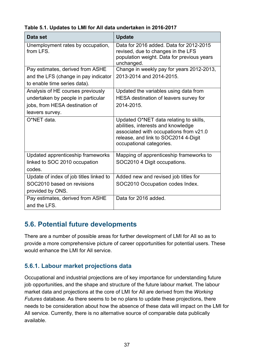| Data set                                         | <b>Update</b>                                                                                                                                                                              |
|--------------------------------------------------|--------------------------------------------------------------------------------------------------------------------------------------------------------------------------------------------|
| Unemployment rates by occupation,<br>from LFS.   | Data for 2016 added. Data for 2012-2015<br>revised, due to changes in the LFS<br>population weight. Data for previous years<br>unchanged.                                                  |
| Pay estimates, derived from ASHE                 | Change in weekly pay for years 2012-2013,                                                                                                                                                  |
| and the LFS (change in pay indicator             | 2013-2014 and 2014-2015.                                                                                                                                                                   |
| to enable time series data).                     |                                                                                                                                                                                            |
| Analysis of HE courses previously                | Updated the variables using data from                                                                                                                                                      |
| undertaken by people in particular               | HESA destination of leavers survey for                                                                                                                                                     |
| jobs, from HESA destination of                   | 2014-2015.                                                                                                                                                                                 |
| leavers survey.                                  |                                                                                                                                                                                            |
| O*NET data.                                      | Updated O*NET data relating to skills,<br>abilities, interests and knowledge<br>associated with occupations from v21.0<br>release, and link to SOC2014 4-Digit<br>occupational categories. |
| Updated apprenticeship frameworks                | Mapping of apprenticeship frameworks to                                                                                                                                                    |
| linked to SOC 2010 occupation                    | SOC2010 4 Digit occupations.                                                                                                                                                               |
| codes.                                           |                                                                                                                                                                                            |
| Update of index of job titles linked to          | Added new and revised job titles for                                                                                                                                                       |
| SOC2010 based on revisions                       | SOC2010 Occupation codes Index.                                                                                                                                                            |
| provided by ONS.                                 |                                                                                                                                                                                            |
| Pay estimates, derived from ASHE<br>and the LFS. | Data for 2016 added.                                                                                                                                                                       |

<span id="page-36-1"></span>**Table 5.1. Updates to LMI for All data undertaken in 2016-2017**

#### <span id="page-36-0"></span>**5.6. Potential future developments**

There are a number of possible areas for further development of LMI for All so as to provide a more comprehensive picture of career opportunities for potential users. These would enhance the LMI for All service.

#### **5.6.1. Labour market projections data**

Occupational and industrial projections are of key importance for understanding future job opportunities, and the shape and structure of the future labour market. The labour market data and projections at the core of LMI for All are derived from the *Working Futures* database. As there seems to be no plans to update these projections, there needs to be consideration about how the absence of these data will impact on the LMI for All service. Currently, there is no alternative source of comparable data publically available.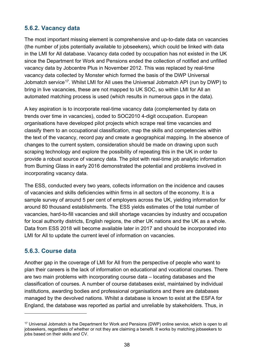#### **5.6.2. Vacancy data**

The most important missing element is comprehensive and up-to-date data on vacancies (the number of jobs potentially available to jobseekers), which could be linked with data in the LMI for All database. Vacancy data coded by occupation has not existed in the UK since the Department for Work and Pensions ended the collection of notified and unfilled vacancy data by Jobcentre Plus in November 2012. This was replaced by real-time vacancy data collected by Monster which formed the basis of the DWP Universal Jobmatch service<sup>[17](#page-37-0)</sup>. Whilst LMI for All uses the Universal Jobmatch API (run by DWP) to bring in live vacancies, these are not mapped to UK SOC, so within LMI for All an automated matching process is used (which results in numerous gaps in the data).

A key aspiration is to incorporate real-time vacancy data (complemented by data on trends over time in vacancies), coded to SOC2010 4-digit occupation. European organisations have developed pilot projects which scrape real time vacancies and classify them to an occupational classification, map the skills and competencies within the text of the vacancy, record pay and create a geographical mapping. In the absence of changes to the current system, consideration should be made on drawing upon such scraping technology and explore the possibility of repeating this in the UK in order to provide a robust source of vacancy data. The pilot with real-time job analytic information from Burning Glass in early 2016 demonstrated the potential and problems involved in incorporating vacancy data.

The ESS, conducted every two years, collects information on the incidence and causes of vacancies and skills deficiencies within firms in all sectors of the economy. It is a sample survey of around 5 per cent of employers across the UK, yielding information for around 80 thousand establishments. The ESS yields estimates of the total number of vacancies, hard-to-fill vacancies and skill shortage vacancies by industry and occupation for local authority districts, English regions, the other UK nations and the UK as a whole. Data from ESS 2018 will become available later in 2017 and should be incorporated into LMI for All to update the current level of information on vacancies.

#### **5.6.3. Course data**

 $\overline{a}$ 

Another gap in the coverage of LMI for All from the perspective of people who want to plan their careers is the lack of information on educational and vocational courses. There are two main problems with incorporating course data – locating databases and the classification of courses. A number of course databases exist, maintained by individual institutions, awarding bodies and professional organisations and there are databases managed by the devolved nations. Whilst a database is known to exist at the ESFA for England, the database was reported as partial and unreliable by stakeholders. Thus, in

<span id="page-37-0"></span><sup>&</sup>lt;sup>17</sup> Universal Jobmatch is the Department for Work and Pensions (DWP) online service, which is open to all jobseekers, regardless of whether or not they are claiming a benefit. It works by matching jobseekers to jobs based on their skills and CV.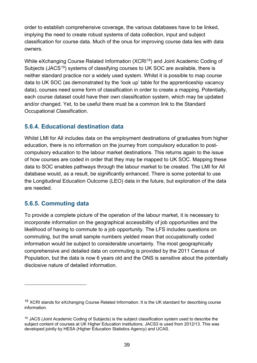order to establish comprehensive coverage, the various databases have to be linked, implying the need to create robust systems of data collection, input and subject classification for course data. Much of the onus for improving course data lies with data owners.

While eXchanging Course Related Information (XCRI<sup>18</sup>) and Joint Academic Coding of Subjects (JACS<sup>[19](#page-38-1)</sup>) systems of classifying courses to UK SOC are available, there is neither standard practice nor a widely used system. Whilst it is possible to map course data to UK SOC (as demonstrated by the 'look up' table for the apprenticeship vacancy data), courses need some form of classification in order to create a mapping. Potentially, each course dataset could have their own classification system, which may be updated and/or changed. Yet, to be useful there must be a common link to the Standard Occupational Classification.

#### **5.6.4. Educational destination data**

Whilst LMI for All includes data on the employment destinations of graduates from higher education, there is no information on the journey from compulsory education to postcompulsory education to the labour market destinations. This returns again to the issue of how courses are coded in order that they may be mapped to UK SOC. Mapping these data to SOC enables pathways through the labour market to be created. The LMI for All database would, as a result, be significantly enhanced. There is some potential to use the Longitudinal Education Outcome (LEO) data in the future, but exploration of the data are needed.

#### **5.6.5. Commuting data**

 $\overline{a}$ 

To provide a complete picture of the operation of the labour market, it is necessary to incorporate information on the geographical accessibility of job opportunities and the likelihood of having to commute to a job opportunity. The LFS includes questions on commuting, but the small sample numbers yielded mean that occupationally coded information would be subject to considerable uncertainty. The most geographically comprehensive and detailed data on commuting is provided by the 2011 Census of Population, but the data is now 6 years old and the ONS is sensitive about the potentially disclosive nature of detailed information.

<span id="page-38-0"></span><sup>&</sup>lt;sup>18</sup> XCRI stands for eXchanging Course Related Information. It is the UK standard for describing course information.

<span id="page-38-1"></span><sup>&</sup>lt;sup>19</sup> JACS (Joint Academic Coding of Subjects) is the subject classification system used to describe the subject content of courses at UK Higher Education institutions. JACS3 is used from 2012/13. This was developed jointly by HESA (Higher Education Statistics Agency) and UCAS.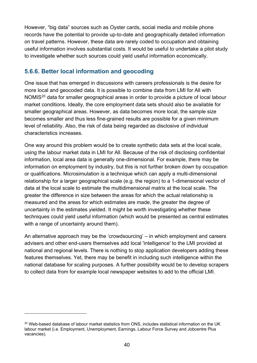However, "big data" sources such as Oyster cards, social media and mobile phone records have the potential to provide up-to-date and geographically detailed information on travel patterns. However, these data are rarely coded to occupation and obtaining useful information involves substantial costs. It would be useful to undertake a pilot study to investigate whether such sources could yield useful information economically.

#### **5.6.6. Better local information and geocoding**

One issue that has emerged in discussions with careers professionals is the desire for more local and geocoded data. It is possible to combine data from LMI for All with NOMIS<sup>[20](#page-39-0)</sup> data for smaller geographical areas in order to provide a picture of local labour market conditions. Ideally, the core employment data sets should also be available for smaller geographical areas. However, as data becomes more local, the sample size becomes smaller and thus less fine-grained results are possible for a given minimum level of reliability. Also, the risk of data being regarded as disclosive of individual characteristics increases.

One way around this problem would be to create synthetic data sets at the local scale, using the labour market data in LMI for All. Because of the risk of disclosing confidential information, local area data is generally one-dimensional. For example, there may be information on employment by industry, but this is not further broken down by occupation or qualifications. Microsimulation is a technique which can apply a multi-dimensional relationship for a larger geographical scale (e.g. the region) to a 1-dimensional vector of data at the local scale to estimate the multidimensional matrix at the local scale. The greater the difference in size between the areas for which the actual relationship is measured and the areas for which estimates are made, the greater the degree of uncertainty in the estimates yielded. It might be worth investigating whether these techniques could yield useful information (which would be presented as central estimates with a range of uncertainty around them).

An alternative approach may be the 'crowdsourcing' – in which employment and careers advisers and other end-users themselves add local 'intelligence' to the LMI provided at national and regional levels. There is nothing to stop application developers adding these features themselves. Yet, there may be benefit in including such intelligence within the national database for scaling purposes. A further possibility would be to develop scrapers to collect data from for example local newspaper websites to add to the official LMI.

 $\overline{a}$ 

<span id="page-39-0"></span><sup>&</sup>lt;sup>20</sup> Web-based database of labour market statistics from ONS, includes statistical information on the UK labour market (i.e. Employment, Unemployment, Earnings, Labour Force Survey and Jobcentre Plus vacancies).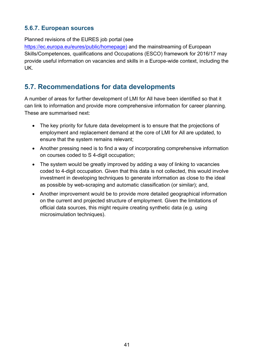#### **5.6.7. European sources**

Planned revisions of the EURES job portal (see

[https://ec.europa.eu/eures/public/homepage\)](https://ec.europa.eu/eures/public/homepage)) and the mainstreaming of European Skills/Competences, qualifications and Occupations (ESCO) framework for 2016/17 may provide useful information on vacancies and skills in a Europe-wide context, including the UK.

#### <span id="page-40-0"></span>**5.7. Recommendations for data developments**

A number of areas for further development of LMI for All have been identified so that it can link to information and provide more comprehensive information for career planning. These are summarised next:

- The key priority for future data development is to ensure that the projections of employment and replacement demand at the core of LMI for All are updated, to ensure that the system remains relevant;
- Another pressing need is to find a way of incorporating comprehensive information on courses coded to S 4-digit occupation;
- The system would be greatly improved by adding a way of linking to vacancies coded to 4-digit occupation. Given that this data is not collected, this would involve investment in developing techniques to generate information as close to the ideal as possible by web-scraping and automatic classification (or similar); and,
- Another improvement would be to provide more detailed geographical information on the current and projected structure of employment. Given the limitations of official data sources, this might require creating synthetic data (e.g. using microsimulation techniques).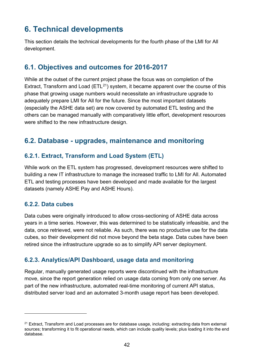# <span id="page-41-0"></span>**6. Technical developments**

This section details the technical developments for the fourth phase of the LMI for All development.

#### <span id="page-41-1"></span>**6.1. Objectives and outcomes for 2016-2017**

While at the outset of the current project phase the focus was on completion of the Extract, Transform and Load ( $ETL^{21}$  $ETL^{21}$  $ETL^{21}$ ) system, it became apparent over the course of this phase that growing usage numbers would necessitate an infrastructure upgrade to adequately prepare LMI for All for the future. Since the most important datasets (especially the ASHE data set) are now covered by automated ETL testing and the others can be managed manually with comparatively little effort, development resources were shifted to the new infrastructure design.

#### <span id="page-41-2"></span>**6.2. Database - upgrades, maintenance and monitoring**

#### **6.2.1. Extract, Transform and Load System (ETL)**

While work on the ETL system has progressed, development resources were shifted to building a new IT infrastructure to manage the increased traffic to LMI for All. Automated ETL and testing processes have been developed and made available for the largest datasets (namely ASHE Pay and ASHE Hours).

#### **6.2.2. Data cubes**

 $\overline{a}$ 

Data cubes were originally introduced to allow cross-sectioning of ASHE data across years in a time series. However, this was determined to be statistically infeasible, and the data, once retrieved, were not reliable. As such, there was no productive use for the data cubes, so their development did not move beyond the beta stage. Data cubes have been retired since the infrastructure upgrade so as to simplify API server deployment.

#### **6.2.3. Analytics/API Dashboard, usage data and monitoring**

Regular, manually generated usage reports were discontinued with the infrastructure move, since the report generation relied on usage data coming from only one server. As part of the new infrastructure, automated real-time monitoring of current API status, distributed server load and an automated 3-month usage report has been developed.

<span id="page-41-3"></span> $21$  Extract. Transform and Load processes are for database usage, including: extracting data from external sources; transforming it to fit operational needs, which can include quality levels; plus loading it into the end database.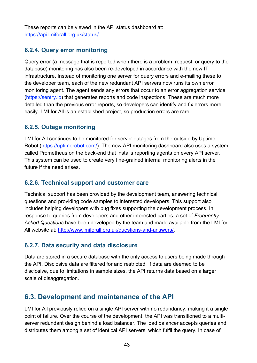These reports can be viewed in the API status dashboard at: [https://api.lmiforall.org.uk/status/.](https://api.lmiforall.org.uk/status/)

#### **6.2.4. Query error monitoring**

Query error (a message that is reported when there is a problem, request, or query to the database) monitoring has also been re-developed in accordance with the new IT infrastructure. Instead of monitoring one server for query errors and e-mailing these to the developer team, each of the new redundant API servers now runs its own error monitoring agent. The agent sends any errors that occur to an error aggregation service [\(https://sentry.io\)](https://sentry.io/) that generates reports and code inspections. These are much more detailed than the previous error reports, so developers can identify and fix errors more easily. LMI for All is an established project, so production errors are rare.

#### **6.2.5. Outage monitoring**

LMI for All continues to be monitored for server outages from the outside by Uptime Robot [\(https://uptimerobot.com/\)](https://uptimerobot.com/). The new API monitoring dashboard also uses a system called Prometheus on the back-end that installs reporting agents on every API server. This system can be used to create very fine-grained internal monitoring alerts in the future if the need arises.

#### **6.2.6. Technical support and customer care**

Technical support has been provided by the development team, answering technical questions and providing code samples to interested developers. This support also includes helping developers with bug fixes supporting the development process. In response to queries from developers and other interested parties, a set of *Frequently Asked Questions* have been developed by the team and made available from the LMI for All website at: [http://www.lmiforall.org.uk/questions-and-answers/.](http://www.lmiforall.org.uk/questions-and-answers/)

#### **6.2.7. Data security and data disclosure**

Data are stored in a secure database with the only access to users being made through the API. Disclosive data are filtered for and restricted. If data are deemed to be disclosive, due to limitations in sample sizes, the API returns data based on a larger scale of disaggregation.

#### <span id="page-42-0"></span>**6.3. Development and maintenance of the API**

LMI for All previously relied on a single API server with no redundancy, making it a single point of failure. Over the course of the development, the API was transitioned to a multiserver redundant design behind a load balancer. The load balancer accepts queries and distributes them among a set of identical API servers, which fulfil the query. In case of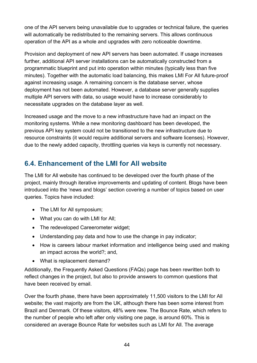one of the API servers being unavailable due to upgrades or technical failure, the queries will automatically be redistributed to the remaining servers. This allows continuous operation of the API as a whole and upgrades with zero noticeable downtime.

Provision and deployment of new API servers has been automated. If usage increases further, additional API server installations can be automatically constructed from a programmatic blueprint and put into operation within minutes (typically less than five minutes). Together with the automatic load balancing, this makes LMI For All future-proof against increasing usage. A remaining concern is the database server, whose deployment has not been automated. However, a database server generally supplies multiple API servers with data, so usage would have to increase considerably to necessitate upgrades on the database layer as well.

Increased usage and the move to a new infrastructure have had an impact on the monitoring systems. While a new monitoring dashboard has been developed, the previous API key system could not be transitioned to the new infrastructure due to resource constraints (it would require additional servers and software licenses). However, due to the newly added capacity, throttling queries via keys is currently not necessary.

## <span id="page-43-0"></span>**6.4. Enhancement of the LMI for All website**

The LMI for All website has continued to be developed over the fourth phase of the project, mainly through iterative improvements and updating of content. Blogs have been introduced into the 'news and blogs' section covering a number of topics based on user queries. Topics have included:

- The LMI for All symposium;
- What you can do with LMI for All;
- The redeveloped Careerometer widget;
- Understanding pay data and how to use the change in pay indicator;
- How is careers labour market information and intelligence being used and making an impact across the world?; and,
- What is replacement demand?

Additionally, the Frequently Asked Questions (FAQs) page has been rewritten both to reflect changes in the project, but also to provide answers to common questions that have been received by email.

Over the fourth phase, there have been approximately 11,500 visitors to the LMI for All website; the vast majority are from the UK, although there has been some interest from Brazil and Denmark. Of these visitors, 48% were new. The Bounce Rate, which refers to the number of people who left after only visiting one page, is around 60%. This is considered an average Bounce Rate for websites such as LMI for All. The average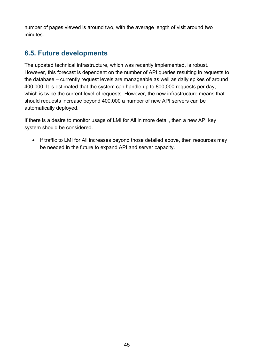number of pages viewed is around two, with the average length of visit around two minutes.

# <span id="page-44-0"></span>**6.5. Future developments**

The updated technical infrastructure, which was recently implemented, is robust. However, this forecast is dependent on the number of API queries resulting in requests to the database – currently request levels are manageable as well as daily spikes of around 400,000. It is estimated that the system can handle up to 800,000 requests per day, which is twice the current level of requests. However, the new infrastructure means that should requests increase beyond 400,000 a number of new API servers can be automatically deployed.

If there is a desire to monitor usage of LMI for All in more detail, then a new API key system should be considered.

• If traffic to LMI for All increases beyond those detailed above, then resources may be needed in the future to expand API and server capacity.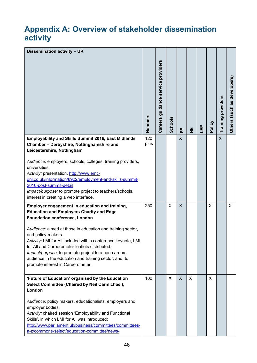# <span id="page-45-0"></span>**Appendix A: Overview of stakeholder dissemination activity**

| Dissemination activity - UK                                                                                                                                                                                                                                                                                                                               |             | Careers guidance service providers |                |              |   |     |        |                           | developers<br>as |
|-----------------------------------------------------------------------------------------------------------------------------------------------------------------------------------------------------------------------------------------------------------------------------------------------------------------------------------------------------------|-------------|------------------------------------|----------------|--------------|---|-----|--------|---------------------------|------------------|
|                                                                                                                                                                                                                                                                                                                                                           | Numbers     |                                    | <b>Schools</b> | 뿐            | 뿦 | LEP | Policy | <b>Training providers</b> | (such<br>Others  |
| <b>Employability and Skills Summit 2016, East Midlands</b><br>Chamber - Derbyshire, Nottinghamshire and<br>Leicestershire, Nottingham                                                                                                                                                                                                                     | 120<br>plus |                                    |                | X            |   |     |        | $\overline{\mathsf{X}}$   |                  |
| Audience: employers, schools, colleges, training providers,<br>universities.<br>Activity: presentation, http://www.emc-<br>dnl.co.uk/information/8922/employment-and-skills-summit-<br>2016-post-summit-detail<br>Impact/purpose: to promote project to teachers/schools,<br>interest in creating a web interface.                                        |             |                                    |                |              |   |     |        |                           |                  |
| Employer engagement in education and training,<br><b>Education and Employers Charity and Edge</b><br><b>Foundation conference, London</b>                                                                                                                                                                                                                 | 250         |                                    | $\mathsf{X}$   | $\mathsf{X}$ |   |     | X      |                           | X                |
| Audience: aimed at those in education and training sector,<br>and policy-makers.<br>Activity: LMI for All included within conference keynote, LMI<br>for All and Careerometer leaflets distributed.<br>Impact/purpose: to promote project to a non-careers<br>audience in the education and training sector; and, to<br>promote interest in Careerometer. |             |                                    |                |              |   |     |        |                           |                  |
| 'Future of Education' organised by the Education<br>Select Committee (Chaired by Neil Carmichael),<br>London                                                                                                                                                                                                                                              | 100         |                                    | X              | X            | X |     | X      |                           |                  |
| Audience: policy makers, educationalists, employers and<br>employer bodies.<br>Activity: chaired session 'Employability and Functional<br>Skills', in which LMI for All was introduced:<br>http://www.parliament.uk/business/committees/committees-<br>a-z/commons-select/education-committee/news-                                                       |             |                                    |                |              |   |     |        |                           |                  |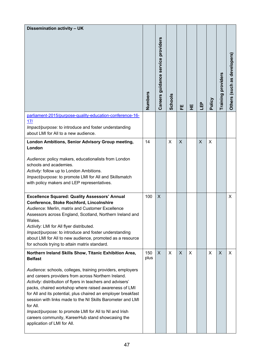| Dissemination activity - UK                                                                                                                                                                                                                                                                                                                                                                                                                                                                                                                                                                                   |             |                                    |                |   |   |     |        |                    |                                            |
|---------------------------------------------------------------------------------------------------------------------------------------------------------------------------------------------------------------------------------------------------------------------------------------------------------------------------------------------------------------------------------------------------------------------------------------------------------------------------------------------------------------------------------------------------------------------------------------------------------------|-------------|------------------------------------|----------------|---|---|-----|--------|--------------------|--------------------------------------------|
|                                                                                                                                                                                                                                                                                                                                                                                                                                                                                                                                                                                                               | Numbers     | Careers guidance service providers | <b>Schools</b> | 뿐 | 뿦 | LEP | Policy | Training providers | developers<br>as<br>(such<br><b>Others</b> |
| parliament-2015/purpose-quality-education-conference-16-<br>17/<br>Impact/purpose: to introduce and foster understanding<br>about LMI for All to a new audience.                                                                                                                                                                                                                                                                                                                                                                                                                                              |             |                                    |                |   |   |     |        |                    |                                            |
| London Ambitions, Senior Advisory Group meeting,<br>London<br>Audience: policy makers, educationalists from London<br>schools and academies.<br>Activity: follow up to London Ambitions.<br>Impact/purpose: to promote LMI for All and Skillsmatch<br>with policy makers and LEP representatives.                                                                                                                                                                                                                                                                                                             | 14          |                                    | $\mathsf{X}$   | X |   | X   | X      |                    |                                            |
| <b>Excellence Squared: Quality Assessors' Annual</b><br>Conference, Stoke Rochford, Lincolnshire<br>Audience: Merlin, matrix and Customer Excellence<br>Assessors across England, Scotland, Northern Ireland and<br>Wales.<br>Activity: LMI for All flyer distributed.<br>Impact/purpose: to introduce and foster understanding<br>about LMI for All to new audience, promoted as a resource<br>for schools trying to attain matrix standard.                                                                                                                                                                 | 100         | $\mathsf{X}$                       |                |   |   |     |        |                    | X                                          |
| Northern Ireland Skills Show, Titanic Exhibition Area,<br><b>Belfast</b><br>Audience: schools, colleges, training providers, employers<br>and careers providers from across Northern Ireland.<br>Activity: distribution of flyers in teachers and advisers'<br>packs, chaired workshop where raised awareness of LMI<br>for All and its potential, plus chaired an employer breakfast<br>session with links made to the NI Skills Barometer and LMI<br>for All.<br>Impact/purpose: to promote LMI for All to NI and Irish<br>careers community, KareerHub stand showcasing the<br>application of LMI for All. | 150<br>plus | $\mathsf{X}$                       | $\mathsf{X}$   | X | X |     | X      | X                  | X                                          |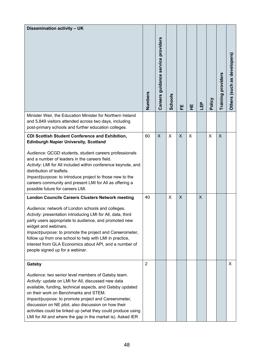| Dissemination activity - UK                                                                                                                                                                                                                                                                                                                                                                                                                                   |                |                                    |                |              |   |            |        |                    |                                            |
|---------------------------------------------------------------------------------------------------------------------------------------------------------------------------------------------------------------------------------------------------------------------------------------------------------------------------------------------------------------------------------------------------------------------------------------------------------------|----------------|------------------------------------|----------------|--------------|---|------------|--------|--------------------|--------------------------------------------|
|                                                                                                                                                                                                                                                                                                                                                                                                                                                               | Numbers        | Careers guidance service providers | <b>Schools</b> | 뿐            | 뿦 | <u>LEP</u> | Policy | Training providers | developers<br>8g<br>(such<br><b>Others</b> |
| Minister Weir, the Education Minister for Northern Ireland<br>and 5,849 visitors attended across two days, including<br>post-primary schools and further education colleges.                                                                                                                                                                                                                                                                                  |                |                                    |                |              |   |            |        |                    |                                            |
| <b>CDI Scottish Student Conference and Exhibition,</b><br><b>Edinburgh Napier University, Scotland</b>                                                                                                                                                                                                                                                                                                                                                        | 60             | $\mathsf{X}$                       | $\mathsf{X}$   | $\mathsf{X}$ | X |            | X      | X                  |                                            |
| Audience: QCGD students, student careers professionals<br>and a number of leaders in the careers field.<br>Activity: LMI for All included within conference keynote, and<br>distribution of leaflets.<br>Impact/purpose: to introduce project to those new to the<br>careers community and present LMI for All as offering a<br>possible future for careers LMI.                                                                                              |                |                                    |                |              |   |            |        |                    |                                            |
| <b>London Councils Careers Clusters Network meeting</b>                                                                                                                                                                                                                                                                                                                                                                                                       | 40             |                                    | X.             | $\sf X$      |   | X          |        |                    |                                            |
| Audience: network of London schools and colleges.<br>Activity: presentation introducing LMI for All, data, third<br>party users appropriate to audience, and promoted new<br>widget and webinars.<br>Impact/purpose: to promote the project and Careerometer,<br>follow up from one school to help with LMI in practice,<br>interest from GLA Economics about API, and a number of<br>people signed up for a webinar.                                         |                |                                    |                |              |   |            |        |                    |                                            |
| Gatsby                                                                                                                                                                                                                                                                                                                                                                                                                                                        | $\overline{2}$ |                                    |                |              |   |            |        |                    | X                                          |
| Audience: two senior level members of Gatsby team.<br>Activity: update on LMI for All, discussed new data<br>available, funding, technical aspects, and Gatsby updated<br>on their work on Benchmarks and STEM.<br>Impact/purpose: to promote project and Careerometer,<br>discussion on NE pilot, also discussion on how their<br>activities could be linked up (what they could produce using<br>LMI for All and where the gap in the market is). Asked IER |                |                                    |                |              |   |            |        |                    |                                            |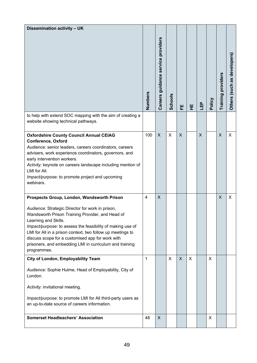| Dissemination activity - UK                                                                                                                                                                                                                                                                                                                                                                                                          |                |                                    |                |         |   |            |        |                           |                             |
|--------------------------------------------------------------------------------------------------------------------------------------------------------------------------------------------------------------------------------------------------------------------------------------------------------------------------------------------------------------------------------------------------------------------------------------|----------------|------------------------------------|----------------|---------|---|------------|--------|---------------------------|-----------------------------|
|                                                                                                                                                                                                                                                                                                                                                                                                                                      | Numbers        | Careers guidance service providers | <b>Schools</b> | 뿐       | 뿦 | <u>LEP</u> | Policy | <b>Training providers</b> | Others (such as developers) |
| to help with extend SOC mapping with the aim of creating a<br>website showing technical pathways.                                                                                                                                                                                                                                                                                                                                    |                |                                    |                |         |   |            |        |                           |                             |
| <b>Oxfordshire County Council Annual CEIAG</b><br><b>Conference, Oxford</b><br>Audience: senior leaders, careers coordinators, careers<br>advisers, work experience coordinators, governors, and<br>early intervention workers.<br>Activity: keynote on careers landscape including mention of<br>LMI for All.<br>Impact/purpose: to promote project and upcoming<br>webinars.                                                       | 100            | X                                  | X              | X       |   | X          |        | $\mathsf{X}$              | X                           |
| Prospects Group, London, Wandsworth Prison<br>Audience: Strategic Director for work in prison,<br>Wandsworth Prison Training Provider, and Head of<br>Learning and Skills.<br>Impact/purpose: to assess the feasibility of making use of<br>LMI for All in a prison context, two follow up meetings to<br>discuss scope for a customised app for work with<br>prisoners, and embedding LMI in curriculum and training<br>programmes. | $\overline{4}$ | X                                  |                |         |   |            |        | X                         | X                           |
| <b>City of London, Employability Team</b><br>Audience: Sophie Hulme, Head of Employability, City of<br>London.<br>Activity: invitational meeting.<br>Impact/purpose: to promote LMI for All third-party users as<br>an up-to-date source of careers information.                                                                                                                                                                     | 1              |                                    | X              | $\sf X$ | X |            | X      |                           |                             |
| <b>Somerset Headteachers' Association</b>                                                                                                                                                                                                                                                                                                                                                                                            | 48             | $\boldsymbol{\mathsf{X}}$          |                |         |   |            | X      |                           |                             |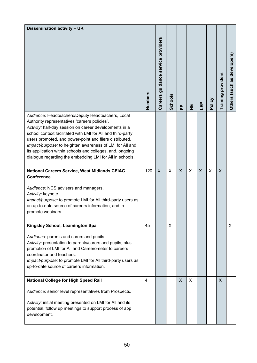| Dissemination activity - UK                                                                                                                                                                                                                                                                                                                                                                                                                                                 |                |                                    |                |         |              |     |        |                    |                                            |
|-----------------------------------------------------------------------------------------------------------------------------------------------------------------------------------------------------------------------------------------------------------------------------------------------------------------------------------------------------------------------------------------------------------------------------------------------------------------------------|----------------|------------------------------------|----------------|---------|--------------|-----|--------|--------------------|--------------------------------------------|
|                                                                                                                                                                                                                                                                                                                                                                                                                                                                             | Numbers        | Careers guidance service providers | <b>Schools</b> | 뿐       | 뿦            | LEP | Policy | Training providers | developers<br>as<br>(such<br><b>Others</b> |
| Audience: Headteachers/Deputy Headteachers, Local<br>Authority representatives 'careers policies'.<br>Activity: half-day session on career developments in a<br>school context facilitated with LMI for All and third-party<br>users promoted, and power-point and fliers distributed.<br>Impact/purpose: to heighten awareness of LMI for All and<br>its application within schools and colleges, and, ongoing<br>dialogue regarding the embedding LMI for All in schools. |                |                                    |                |         |              |     |        |                    |                                            |
| National Careers Service, West Midlands CEIAG<br><b>Conference</b><br>Audience: NCS advisers and managers.<br>Activity: keynote.<br>Impact/purpose: to promote LMI for All third-party users as<br>an up-to-date source of careers information, and to<br>promote webinars.                                                                                                                                                                                                 | 120            | $\mathsf{X}$                       | $\mathsf{X}$   | $\sf X$ | $\mathsf{x}$ | X   | X      | X                  |                                            |
| Kingsley School, Leamington Spa<br>Audience: parents and carers and pupils.<br>Activity: presentation to parents/carers and pupils, plus<br>promotion of LMI for All and Careerometer to careers<br>coordinator and teachers.<br>Impact/purpose: to promote LMI for All third-party users as<br>up-to-date source of careers information.                                                                                                                                   | 45             |                                    | X.             |         |              |     |        |                    | X                                          |
| <b>National College for High Speed Rail</b><br>Audience: senior level representatives from Prospects.<br>Activity: initial meeting presented on LMI for All and its<br>potential, follow up meetings to support process of app<br>development.                                                                                                                                                                                                                              | $\overline{4}$ |                                    |                | X.      | X            |     |        | X.                 |                                            |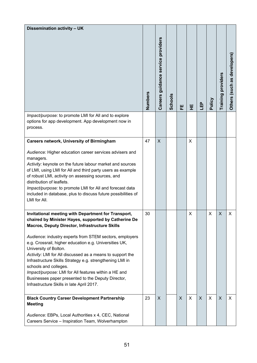| Dissemination activity - UK                                                                                                                                                                                                                                                                                                                                                                                                                                                                                                                                                                                                     |         |                                    |                |    |   |            |        |                    |                                     |
|---------------------------------------------------------------------------------------------------------------------------------------------------------------------------------------------------------------------------------------------------------------------------------------------------------------------------------------------------------------------------------------------------------------------------------------------------------------------------------------------------------------------------------------------------------------------------------------------------------------------------------|---------|------------------------------------|----------------|----|---|------------|--------|--------------------|-------------------------------------|
|                                                                                                                                                                                                                                                                                                                                                                                                                                                                                                                                                                                                                                 | Numbers | Careers guidance service providers | <b>Schools</b> | 뿐  | 뿦 | <u>LEP</u> | Policy | Training providers | developers<br>as<br>(such<br>Others |
| Impact/purpose: to promote LMI for All and to explore<br>options for app development. App development now in<br>process.                                                                                                                                                                                                                                                                                                                                                                                                                                                                                                        |         |                                    |                |    |   |            |        |                    |                                     |
| <b>Careers network, University of Birmingham</b><br>Audience: Higher education career services advisers and<br>managers.<br>Activity: keynote on the future labour market and sources<br>of LMI, using LMI for All and third party users as example<br>of robust LMI, activity on assessing sources, and<br>distribution of leaflets.<br>Impact/purpose: to promote LMI for All and forecast data<br>included in database, plus to discuss future possibilities of<br>LMI for All.                                                                                                                                              | 47      | X                                  |                |    | X |            |        |                    |                                     |
| Invitational meeting with Department for Transport,<br>chaired by Minister Hayes, supported by Catherine De<br><b>Macros, Deputy Director, Infrastructure Skills</b><br>Audience: industry experts from STEM sectors, employers<br>e.g. Crossrail, higher education e.g. Universities UK,<br>University of Bolton.<br>Activity: LMI for All discussed as a means to support the<br>Infrastructure Skills Strategy e.g. strengthening LMI in<br>schools and colleges.<br>Impact/purpose: LMI for All features within a HE and<br>Businesses paper presented to the Deputy Director,<br>Infrastructure Skills in late April 2017. | 30      |                                    |                |    | X |            | X      | X                  | X                                   |
| <b>Black Country Career Development Partnership</b><br><b>Meeting</b><br>Audience: EBPs, Local Authorities x 4, CEC, National<br>Careers Service - Inspiration Team, Wolverhampton                                                                                                                                                                                                                                                                                                                                                                                                                                              | 23      | X                                  |                | X. | X | X          | X      | X                  | X                                   |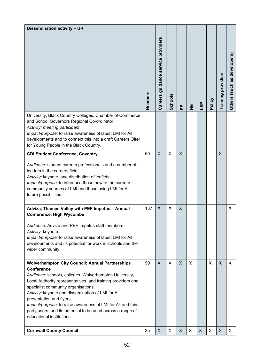| <b>Dissemination activity - UK</b>                                                                                                                                                                                                                                                                                                                                                                                                                                                       | Numbers | Careers guidance service providers | <b>Schools</b> | 뿐            | 뿦        | LEP | Policy | Training providers | developers<br>8g<br>(such<br><b>Others</b> |
|------------------------------------------------------------------------------------------------------------------------------------------------------------------------------------------------------------------------------------------------------------------------------------------------------------------------------------------------------------------------------------------------------------------------------------------------------------------------------------------|---------|------------------------------------|----------------|--------------|----------|-----|--------|--------------------|--------------------------------------------|
| University, Black Country Colleges, Chamber of Commerce<br>and School Governors Regional Co-ordinator.<br>Activity: meeting participant.<br>Impact/purpose: to raise awareness of latest LMI for All<br>developments and to connect this into a draft Careers Offer<br>for Young People in the Black Country.                                                                                                                                                                            |         |                                    |                |              |          |     |        |                    |                                            |
| <b>CDI Student Conference, Coventry</b><br>Audience: student careers professionals and a number of<br>leaders in the careers field.<br>Activity: keynote, and distribution of leaflets.<br>Impact/purpose: to introduce those new to the careers<br>community sources of LMI and those using LMI for All<br>future possibilities.                                                                                                                                                        | 50      | X                                  | $\mathsf{X}$   | $\sf X$      |          |     |        | X                  |                                            |
| Adviza, Thames Valley with PEF Impetus - Annual<br><b>Conference, High Wycombe</b><br>Audience: Adviza and PEF Impetus staff members.<br>Activity: keynote.<br>Impact/purpose: to raise awareness of latest LMI for All<br>developments and its potential for work in schools and the<br>wider community.                                                                                                                                                                                | 137     | X                                  | X.             | $\mathsf{X}$ |          |     |        |                    | X                                          |
| <b>Wolverhampton City Council: Annual Partnerships</b><br><b>Conference</b><br>Audience: schools, colleges, Wolverhampton University,<br>Local Authority representatives, and training providers and<br>specialist community organisations.<br>Activity: keynote and dissemination of LMI for All<br>presentation and flyers.<br>Impact/purpose: to raise awareness of LMI for All and third<br>party users, and its potential to be used across a range of<br>educational institutions. | 90      | $\sf X$                            | $\mathsf{X}$   | $\mathsf{X}$ | $\times$ |     | X      | X                  | X                                          |
| <b>Cornwall County Council</b>                                                                                                                                                                                                                                                                                                                                                                                                                                                           | 35      | $\pmb{\times}$                     | X              | X            | X        | X   | X      | X                  | X                                          |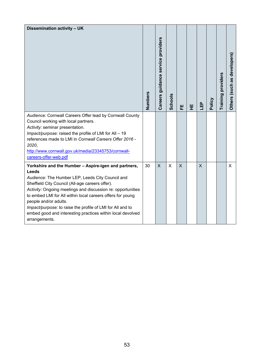| Dissemination activity - UK                                                                                                                                                                                                                                                                                                                                                                                                                                                    | Numbers | Careers guidance service providers | <b>Schools</b> |              |   |     | Policy | <b>Training providers</b> | developers<br>8g<br>Others (such |
|--------------------------------------------------------------------------------------------------------------------------------------------------------------------------------------------------------------------------------------------------------------------------------------------------------------------------------------------------------------------------------------------------------------------------------------------------------------------------------|---------|------------------------------------|----------------|--------------|---|-----|--------|---------------------------|----------------------------------|
| Audience: Cornwall Careers Offer lead by Cornwall County<br>Council working with local partners.<br>Activity: seminar presentation.<br>Impact/purpose: raised the profile of LMI for All - 19<br>references made to LMI in Cornwall Careers Offer 2016 -<br>2020,<br>http://www.cornwall.gov.uk/media/23345753/cornwall-<br>careers-offer-web.pdf                                                                                                                              |         |                                    |                | 뿐            | 뿦 | LЕP |        |                           |                                  |
| Yorkshire and the Humber - Aspire-igen and partners,<br><b>Leeds</b><br>Audience: The Humber LEP, Leeds City Council and<br>Sheffield City Council (All-age careers offer).<br>Activity: Ongoing meetings and discussion re: opportunities<br>to embed LMI for All within local careers offers for young<br>people and/or adults.<br>Impact/purpose: to raise the profile of LMI for All and to<br>embed good and interesting practices within local devolved<br>arrangements. | 30      | $\times$                           | $\mathsf{X}$   | $\mathsf{X}$ |   | X   |        |                           | X                                |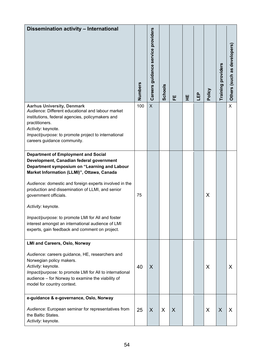| Dissemination activity - International                                                                                                                                                                                                                                                                                                                                                                                                                                                                        | Numbers | Careers guidance service providers | <b>Schools</b> | 뿐       | 뿦 | 山 | Policy | Training providers | developers<br>Others (such as |
|---------------------------------------------------------------------------------------------------------------------------------------------------------------------------------------------------------------------------------------------------------------------------------------------------------------------------------------------------------------------------------------------------------------------------------------------------------------------------------------------------------------|---------|------------------------------------|----------------|---------|---|---|--------|--------------------|-------------------------------|
| <b>Aarhus University, Denmark</b><br>Audience: Different educational and labour market<br>institutions, federal agencies, policymakers and<br>practitioners.<br>Activity: keynote.<br>Impact/purpose: to promote project to international<br>careers guidance community.                                                                                                                                                                                                                                      | 100     | $\mathsf{X}$                       |                |         |   |   |        |                    | $\mathsf{X}$                  |
| <b>Department of Employment and Social</b><br>Development, Canadian federal government<br>Department symposium on "Learning and Labour<br>Market Information (LLMI)", Ottawa, Canada<br>Audience: domestic and foreign experts involved in the<br>production and dissemination of LLMI, and senior<br>government officials.<br>Activity: keynote.<br>Impact/purpose: to promote LMI for All and foster<br>interest amongst an international audience of LMI<br>experts, gain feedback and comment on project. | 75      |                                    |                |         |   |   | X      |                    |                               |
| <b>LMI and Careers, Oslo, Norway</b><br>Audience: careers guidance, HE, researchers and<br>Norwegian policy makers.<br>Activity: keynote.<br>Impact/purpose: to promote LMI for All to international<br>audience - for Norway to examine the viability of<br>model for country context.                                                                                                                                                                                                                       | 40      | X                                  |                |         |   |   | X      |                    | X                             |
| e-guidance & e-governance, Oslo, Norway<br>Audience: European seminar for representatives from<br>the Baltic States.<br>Activity: keynote.                                                                                                                                                                                                                                                                                                                                                                    | 25      | $\sf X$                            | X              | $\sf X$ |   |   | X      | $\sf X$            | X                             |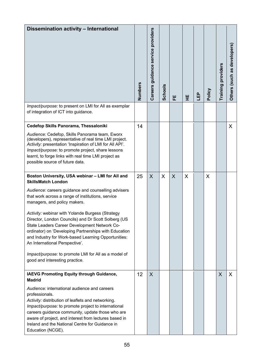| Dissemination activity - International<br>Impact/purpose: to present on LMI for All as exemplar                                                                                                                                                                                                                                                                                                                                                                                                                                                                                                                                  | Numbers | Careers guidance service providers | <b>Schools</b> | 뿐       | 뿦 | 凸 | Policy | Training providers | developers<br>as<br>Others (such |
|----------------------------------------------------------------------------------------------------------------------------------------------------------------------------------------------------------------------------------------------------------------------------------------------------------------------------------------------------------------------------------------------------------------------------------------------------------------------------------------------------------------------------------------------------------------------------------------------------------------------------------|---------|------------------------------------|----------------|---------|---|---|--------|--------------------|----------------------------------|
| of integration of ICT into guidance.                                                                                                                                                                                                                                                                                                                                                                                                                                                                                                                                                                                             |         |                                    |                |         |   |   |        |                    |                                  |
| Cedefop Skills Panorama, Thessaloniki<br>Audience: Cedefop, Skills Panorama team, Eworx<br>(developers), representative of real time LMI project.<br>Activity: presentation 'Inspiration of LMI for All API'.<br>Impact/purpose: to promote project, share lessons<br>learnt, to forge links with real time LMI project as<br>possible source of future data.                                                                                                                                                                                                                                                                    | 14      |                                    |                |         |   |   |        |                    | X                                |
| Boston University, USA webinar - LMI for All and<br><b>SkillsMatch London</b><br>Audience: careers guidance and counselling advisers<br>that work across a range of institutions, service<br>managers, and policy makers.<br>Activity: webinar with Yolande Burgess (Strategy<br>Director, London Councils) and Dr Scott Solberg (US<br>State Leaders Career Development Network Co-<br>ordinator) on 'Developing Partnerships with Education<br>and Industry for Work-based Learning Opportunities:<br>An International Perspective'.<br>Impact/purpose: to promote LMI for All as a model of<br>good and interesting practice. | 25      | $\sf X$                            | $\sf X$        | $\sf X$ | X |   | X      |                    |                                  |
| <b>IAEVG Promoting Equity through Guidance,</b><br><b>Madrid</b><br>Audience: international audience and careers<br>professionals.<br>Activity: distribution of leaflets and networking.<br>Impact/purpose: to promote project to international<br>careers guidance community, update those who are<br>aware of project, and interest from lectures based in<br>Ireland and the National Centre for Guidance in<br>Education (NCGE).                                                                                                                                                                                             | 12      | $\sf X$                            |                |         |   |   |        | X                  | X                                |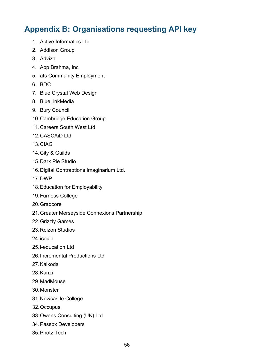# <span id="page-55-0"></span>**Appendix B: Organisations requesting API key**

- 1. Active Informatics Ltd
- 2. Addison Group
- 3. Adviza
- 4. App Brahma, Inc
- 5. ats Community Employment
- 6. BDC
- 7. Blue Crystal Web Design
- 8. BlueLinkMedia
- 9. Bury Council
- 10.Cambridge Education Group
- 11. Careers South West Ltd.
- 12.CASCAiD Ltd
- 13.CIAG
- 14.City & Guilds
- 15.Dark Pie Studio
- 16.Digital Contraptions Imaginarium Ltd.
- 17.DWP
- 18.Education for Employability
- 19.Furness College
- 20.Gradcore
- 21.Greater Merseyside Connexions Partnership
- 22.Grizzly Games
- 23.Reizon Studios
- 24.icould
- 25.i-education Ltd
- 26.Incremental Productions Ltd
- 27.Kaikoda
- 28.Kanzi
- 29.MadMouse
- 30.Monster
- 31.Newcastle College
- 32.Occupus
- 33.Owens Consulting (UK) Ltd
- 34.Passbx Developers
- 35.Photz Tech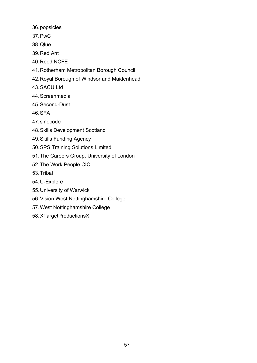- 36.popsicles
- 37.PwC
- 38.Qlue
- 39.Red Ant
- 40.Reed NCFE
- 41.Rotherham Metropolitan Borough Council
- 42.Royal Borough of Windsor and Maidenhead
- 43.SACU Ltd
- 44.Screenmedia
- 45.Second-Dust
- 46.SFA
- 47.sinecode
- 48.Skills Development Scotland
- 49.Skills Funding Agency
- 50.SPS Training Solutions Limited
- 51.The Careers Group, University of London
- 52.The Work People CIC
- 53.Tribal
- 54.U-Explore
- 55.University of Warwick
- 56.Vision West Nottinghamshire College
- 57.West Nottinghamshire College
- 58.XTargetProductionsX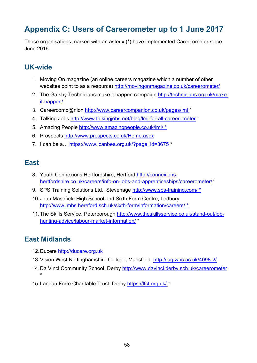# <span id="page-57-0"></span>**Appendix C: Users of Careerometer up to 1 June 2017**

Those organisations marked with an asterix (\*) have implemented Careerometer since June 2016.

## <span id="page-57-1"></span>**UK-wide**

- 1. Moving On magazine (an online careers magazine which a number of other websites point to as a resource)<http://movingonmagazine.co.uk/careerometer/>
- 2. The Gatsby Technicians make it happen campaign [http://technicians.org.uk/make](http://technicians.org.uk/make-it-happen/)[it-happen/](http://technicians.org.uk/make-it-happen/)
- 3. Careercomp@nion http://www.careercompanion.co.uk/pages/lmi \*
- 4. Talking Jobs http://www.talkingjobs.net/blog/lmi-for-all-careerometer \*
- 5. Amazing People<http://www.amazingpeople.co.uk/lmi/> \*
- 6. Prospects<http://www.prospects.co.uk/Home.aspx>
- 7. I can be a... https://www.icanbea.org.uk/?page\_id=3675 \*

#### <span id="page-57-2"></span>**East**

- 8. Youth Connexions Hertfordshire, Hertford [http://connexions](http://connexions-hertfordshire.co.uk/careers/info-on-jobs-and-apprenticeships/careerometer/)[hertfordshire.co.uk/careers/info-on-jobs-and-apprenticeships/careerometer/\\*](http://connexions-hertfordshire.co.uk/careers/info-on-jobs-and-apprenticeships/careerometer/)
- 9. SPS Training Solutions Ltd., Stevenage<http://www.sps-training.com/> \*
- 10.John Masefield High School and Sixth Form Centre, Ledbury <http://www.jmhs.hereford.sch.uk/sixth-form/information/careers/> \*
- 11.The Skills Service, Peterborough [http://www.theskillsservice.co.uk/stand-out/job](http://www.theskillsservice.co.uk/stand-out/job-hunting-advice/labour-market-information/)[hunting-advice/labour-market-information/](http://www.theskillsservice.co.uk/stand-out/job-hunting-advice/labour-market-information/) \*

#### <span id="page-57-3"></span>**East Midlands**

- 12. Ducere [http://ducere.org.uk](http://ducere.org.uk/)
- 13.Vision West Nottinghamshire College, Mansfield <http://iag.wnc.ac.uk/4098-2/>
- 14.Da Vinci Community School, Derby<http://www.davinci.derby.sch.uk/careerometer> \*
- <span id="page-57-4"></span>15.Landau Forte Charitable Trust, Derby<https://lfct.org.uk/> \*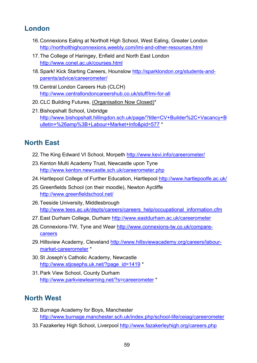#### **London**

- 16.Connexions Ealing at Northolt High School, West Ealing, Greater London <http://northolthighconnexions.weebly.com/lmi-and-other-resources.html>
- 17.The College of Haringey, Enfield and North East London <http://www.conel.ac.uk/courses.html>
- 18.Spark! Kick Starting Careers, Hounslow [http://sparklondon.org/students-and](http://sparklondon.org/students-and-parents/advice/careerometer/)[parents/advice/careerometer/](http://sparklondon.org/students-and-parents/advice/careerometer/)
- 19.Central London Careers Hub (CLCH) <http://www.centrallondoncareershub.co.uk/stuff/lmi-for-all>
- 20.CLC Building Futures, (Organisation Now Closed)\*
- 21.Bishopshalt School, Uxbridge [http://www.bishopshalt.hillingdon.sch.uk/page/?title=CV+Builder%2C+Vacancy+B](http://www.bishopshalt.hillingdon.sch.uk/page/?title=CV+Builder%2C+Vacancy+Bulletin+%26amp%3B+Labour+Market+Info&pid=577) [ulletin+%26amp%3B+Labour+Market+Info&pid=577](http://www.bishopshalt.hillingdon.sch.uk/page/?title=CV+Builder%2C+Vacancy+Bulletin+%26amp%3B+Labour+Market+Info&pid=577) \*

## <span id="page-58-0"></span>**North East**

- 22.The King Edward VI School, Morpeth<http://www.kevi.info/careerometer/>
- 23.Kenton Multi Academy Trust, Newcastle upon Tyne <http://www.kenton.newcastle.sch.uk/careerometer.php>
- 24.Hartlepool College of Further Education, Hartlepool<http://www.hartlepoolfe.ac.uk/>
- 25.Greenfields School (on their moodle), Newton Aycliffe <http://www.greenfieldschool.net/>
- 26.Teeside University, Middlesbrough [http://www.tees.ac.uk/depts/careers/careers\\_help/occupational\\_information.cfm](http://www.tees.ac.uk/depts/careers/careers_help/occupational_information.cfm)
- 27.East Durham College, Durham<http://www.eastdurham.ac.uk/careerometer>
- 28.Connexions-TW, Tyne and Wear [http://www.connexions-tw.co.uk/compare](http://www.connexions-tw.co.uk/compare-careers)[careers](http://www.connexions-tw.co.uk/compare-careers)
- 29.Hillsview Academy, Cleveland [http://www.hillsviewacademy.org/careers/labour](http://www.hillsviewacademy.org/careers/labour-market-careerometer)[market-careerometer](http://www.hillsviewacademy.org/careers/labour-market-careerometer) \*
- 30.St Joseph's Catholic Academy, Newcastle [http://www.stjosephs.uk.net/?page\\_id=1419](http://www.stjosephs.uk.net/?page_id=1419) \*
- 31.Park View School, County Durham <http://www.parkviewlearning.net/?s=careerometer> \*

## <span id="page-58-1"></span>**North West**

- 32.Burnage Academy for Boys, Manchester <http://www.burnage.manchester.sch.uk/index.php/school-life/ceiag/careerometer>
- 33.Fazakerley High School, Liverpool<http://www.fazakerleyhigh.org/careers.php>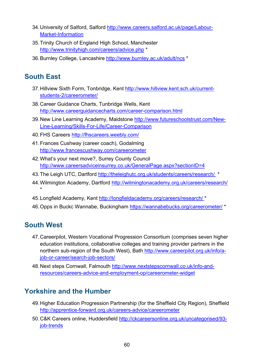- 34.University of Salford, Salford [http://www.careers.salford.ac.uk/page/Labour-](http://www.careers.salford.ac.uk/page/Labour-Market-Information)[Market-Information](http://www.careers.salford.ac.uk/page/Labour-Market-Information)
- 35.Trinity Church of England High School, Manchester <http://www.trinityhigh.com/careers/advice.php> \*
- 36.Burnley College, Lancashire http://www.burnley.ac.uk/adult/ncs \*

# <span id="page-59-0"></span>**South East**

- 37.Hillview Sixth Form, Tonbridge, Kent [http://www.hillview.kent.sch.uk/current](http://www.hillview.kent.sch.uk/current-students-2/careerometer/)[students-2/careerometer/](http://www.hillview.kent.sch.uk/current-students-2/careerometer/)
- 38.Career Guidance Charts, Tunbridge Wells, Kent <http://www.careerguidancecharts.com/career-comparison.html>
- 39.New Line Learning Academy, Maidstone [http://www.futureschoolstrust.com/New-](http://www.futureschoolstrust.com/New-Line-Learning/Skills-For-Life/Career-Comparison)[Line-Learning/Skills-For-Life/Career-Comparison](http://www.futureschoolstrust.com/New-Line-Learning/Skills-For-Life/Career-Comparison)
- 40.FHS Careers http://fhscareers.weebly.com/
- 41.Frances Cushway (career coach), Godalming <http://www.francescushway.com/careerometer>
- 42.What's your next move?, Surrey County Council <http://www.careersadviceinsurrey.co.uk/GeneralPage.aspx?sectionID=4>
- 43. The Leigh UTC, Dartford <http://theleighutc.org.uk/students/careers/research/> \*
- 44.Wilmington Academy, Dartford<http://wilmingtonacademy.org.uk/careers/research/> \*
- 45. Longfield Academy, Kent<http://longfieldacademy.org/careers/research/> \*
- 46.Opps in Buckc Wannabe, Buckingham<https://wannabebucks.org/careerometer/> \*

# <span id="page-59-1"></span>**South West**

- 47.Careerpilot, Western Vocational Progression Consortium (comprises seven higher education institutions, collaborative colleges and training provider partners in the northern sub-region of the South West), Bath [http://www.careerpilot.org.uk/info/a](http://www.careerpilot.org.uk/info/a-job-or-career/search-job-sectors/)[job-or-career/search-job-sectors/](http://www.careerpilot.org.uk/info/a-job-or-career/search-job-sectors/)
- 48.Next steps Cornwall, Falmouth [http://www.nextstepscornwall.co.uk/info-and](http://www.nextstepscornwall.co.uk/info-and-resources/careers-advice-and-employment-op/careerometer-widget)[resources/careers-advice-and-employment-op/careerometer-widget](http://www.nextstepscornwall.co.uk/info-and-resources/careers-advice-and-employment-op/careerometer-widget)

# <span id="page-59-2"></span>**Yorkshire and the Humber**

- 49.Higher Education Progression Partnership (for the Sheffield City Region), Sheffield <http://apprentice-forward.org.uk/careers-advice/careerometer>
- 50.C&K Careers online, Huddersfield http://ckcareersonline.org.uk/uncategorised/93 job-trends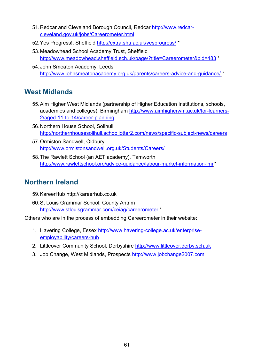- 51.Redcar and Cleveland Borough Council, Redcar [http://www.redcar](http://www.redcar-cleveland.gov.uk/jobs/Careerometer.html)[cleveland.gov.uk/jobs/Careerometer.html](http://www.redcar-cleveland.gov.uk/jobs/Careerometer.html)
- 52.Yes Progress!, Sheffield<http://extra.shu.ac.uk/yesprogress/> \*
- 53.Meadowhead School Academy Trust, Sheffield <http://www.meadowhead.sheffield.sch.uk/page/?title=Careerometer&pid=483> \*
- 54.John Smeaton Academy, Leeds <http://www.johnsmeatonacademy.org.uk/parents/careers-advice-and-guidance/> \*

#### <span id="page-60-0"></span>**West Midlands**

- 55.Aim Higher West Midlands (partnership of Higher Education Institutions, schools, academies and colleges), Birmingham [http://www.aimhigherwm.ac.uk/for-learners-](http://www.aimhigherwm.ac.uk/for-learners-2/aged-11-to-14/career-planning)[2/aged-11-to-14/career-planning](http://www.aimhigherwm.ac.uk/for-learners-2/aged-11-to-14/career-planning)
- 56.Northern House School, Solihull <http://northernhousesolihull.schooljotter2.com/news/specific-subject-news/careers>
- 57.Ormiston Sandwell, Oldbury <http://www.ormistonsandwell.org.uk/Students/Careers/>
- 58.The Rawlett School (an AET academy), Tamworth <http://www.rawlettschool.org/advice-guidance/labour-market-information-lmi> \*

#### <span id="page-60-1"></span>**Northern Ireland**

- 59.KareerHub [http://kareerhub.co.uk](http://kareerhub.co.uk/)
- 60.St Louis Grammar School, County Antrim <http://www.stlouisgrammar.com/ceiag/careerometer> \*

Others who are in the process of embedding Careerometer in their website:

- 1. Havering College, Essex [http://www.havering-college.ac.uk/enterprise](http://www.havering-college.ac.uk/enterprise-employability/careers-hub)[employability/careers-hub](http://www.havering-college.ac.uk/enterprise-employability/careers-hub)
- 2. Littleover Community School, Derbyshire [http://www.littleover.derby.sch.uk](http://www.littleover.derby.sch.uk/)
- 3. Job Change, West Midlands, Prospects [http://www.jobchange2007.com](http://www.jobchange2007.com/)